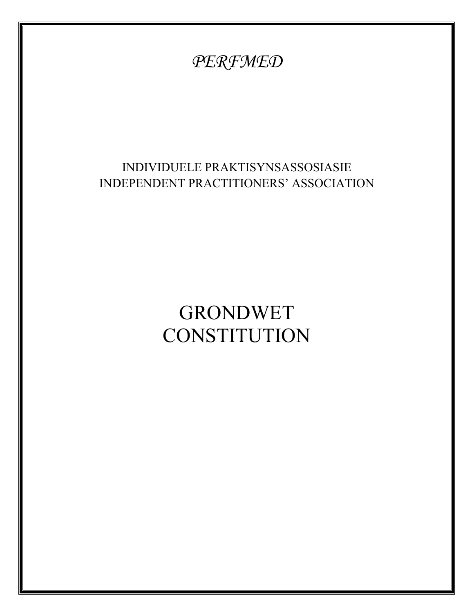# *PERFMED*  INDIVIDUELE PRAKTISYNSASSOSIASIE INDEPENDENT PRACTITIONERS' ASSOCIATION **GRONDWET CONSTITUTION**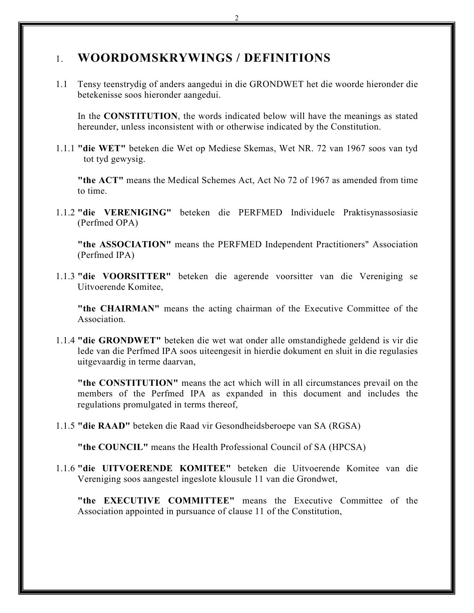# 1. **WOORDOMSKRYWINGS / DEFINITIONS**

1.1 Tensy teenstrydig of anders aangedui in die GRONDWET het die woorde hieronder die betekenisse soos hieronder aangedui.

In the **CONSTITUTION**, the words indicated below will have the meanings as stated hereunder, unless inconsistent with or otherwise indicated by the Constitution.

1.1.1 **"die WET"** beteken die Wet op Mediese Skemas, Wet NR. 72 van 1967 soos van tyd tot tyd gewysig.

**"the ACT"** means the Medical Schemes Act, Act No 72 of 1967 as amended from time to time.

1.1.2 **"die VERENIGING"** beteken die PERFMED Individuele Praktisynassosiasie (Perfmed OPA)

**"the ASSOCIATION"** means the PERFMED Independent Practitioners" Association (Perfmed IPA)

1.1.3 **"die VOORSITTER"** beteken die agerende voorsitter van die Vereniging se Uitvoerende Komitee,

**"the CHAIRMAN"** means the acting chairman of the Executive Committee of the **Association** 

1.1.4 **"die GRONDWET"** beteken die wet wat onder alle omstandighede geldend is vir die lede van die Perfmed IPA soos uiteengesit in hierdie dokument en sluit in die regulasies uitgevaardig in terme daarvan,

**"the CONSTITUTION"** means the act which will in all circumstances prevail on the members of the Perfmed IPA as expanded in this document and includes the regulations promulgated in terms thereof,

1.1.5 **"die RAAD"** beteken die Raad vir Gesondheidsberoepe van SA (RGSA)

**"the COUNCIL"** means the Health Professional Council of SA (HPCSA)

1.1.6 **"die UITVOERENDE KOMITEE"** beteken die Uitvoerende Komitee van die Vereniging soos aangestel ingeslote klousule 11 van die Grondwet,

**"the EXECUTIVE COMMITTEE"** means the Executive Committee of the Association appointed in pursuance of clause 11 of the Constitution,

2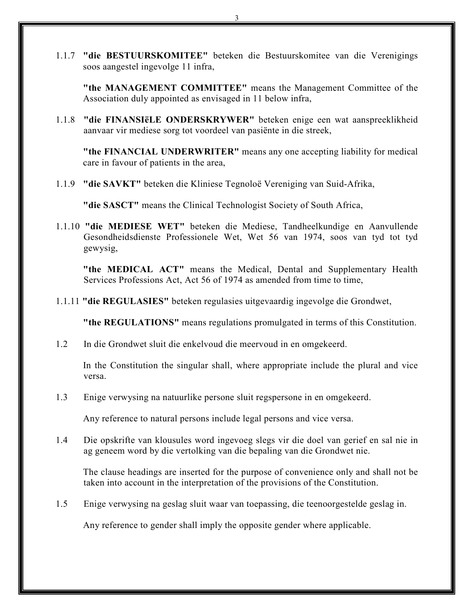1.1.7 **"die BESTUURSKOMITEE"** beteken die Bestuurskomitee van die Verenigings soos aangestel ingevolge 11 infra,

**"the MANAGEMENT COMMITTEE"** means the Management Committee of the Association duly appointed as envisaged in 11 below infra,

1.1.8 **"die FINANSIëLE ONDERSKRYWER"** beteken enige een wat aanspreeklikheid aanvaar vir mediese sorg tot voordeel van pasiënte in die streek,

**"the FINANCIAL UNDERWRITER"** means any one accepting liability for medical care in favour of patients in the area,

1.1.9 **"die SAVKT"** beteken die Kliniese Tegnoloë Vereniging van Suid-Afrika,

**"die SASCT"** means the Clinical Technologist Society of South Africa,

1.1.10 **"die MEDIESE WET"** beteken die Mediese, Tandheelkundige en Aanvullende Gesondheidsdienste Professionele Wet, Wet 56 van 1974, soos van tyd tot tyd gewysig,

**"the MEDICAL ACT"** means the Medical, Dental and Supplementary Health Services Professions Act, Act 56 of 1974 as amended from time to time,

1.1.11 **"die REGULASIES"** beteken regulasies uitgevaardig ingevolge die Grondwet,

**"the REGULATIONS"** means regulations promulgated in terms of this Constitution.

1.2 In die Grondwet sluit die enkelvoud die meervoud in en omgekeerd.

In the Constitution the singular shall, where appropriate include the plural and vice versa.

1.3 Enige verwysing na natuurlike persone sluit regspersone in en omgekeerd.

Any reference to natural persons include legal persons and vice versa.

1.4 Die opskrifte van klousules word ingevoeg slegs vir die doel van gerief en sal nie in ag geneem word by die vertolking van die bepaling van die Grondwet nie.

The clause headings are inserted for the purpose of convenience only and shall not be taken into account in the interpretation of the provisions of the Constitution.

1.5 Enige verwysing na geslag sluit waar van toepassing, die teenoorgestelde geslag in.

Any reference to gender shall imply the opposite gender where applicable.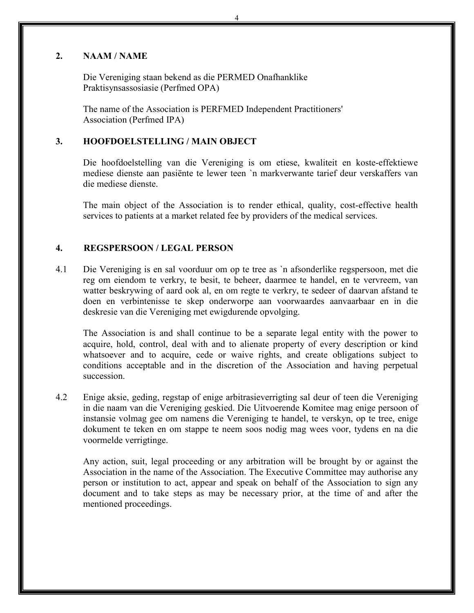#### **2. NAAM / NAME**

Die Vereniging staan bekend as die PERMED Onafhanklike Praktisynsassosiasie (Perfmed OPA)

The name of the Association is PERFMED Independent Practitioners' Association (Perfmed IPA)

#### **3. HOOFDOELSTELLING / MAIN OBJECT**

Die hoofdoelstelling van die Vereniging is om etiese, kwaliteit en koste-effektiewe mediese dienste aan pasiёnte te lewer teen `n markverwante tarief deur verskaffers van die mediese dienste.

The main object of the Association is to render ethical, quality, cost-effective health services to patients at a market related fee by providers of the medical services.

#### **4. REGSPERSOON / LEGAL PERSON**

4.1 Die Vereniging is en sal voorduur om op te tree as `n afsonderlike regspersoon, met die reg om eiendom te verkry, te besit, te beheer, daarmee te handel, en te vervreem, van watter beskrywing of aard ook al, en om regte te verkry, te sedeer of daarvan afstand te doen en verbintenisse te skep onderworpe aan voorwaardes aanvaarbaar en in die deskresie van die Vereniging met ewigdurende opvolging.

The Association is and shall continue to be a separate legal entity with the power to acquire, hold, control, deal with and to alienate property of every description or kind whatsoever and to acquire, cede or waive rights, and create obligations subject to conditions acceptable and in the discretion of the Association and having perpetual succession.

4.2 Enige aksie, geding, regstap of enige arbitrasieverrigting sal deur of teen die Vereniging in die naam van die Vereniging geskied. Die Uitvoerende Komitee mag enige persoon of instansie volmag gee om namens die Vereniging te handel, te verskyn, op te tree, enige dokument te teken en om stappe te neem soos nodig mag wees voor, tydens en na die voormelde verrigtinge.

Any action, suit, legal proceeding or any arbitration will be brought by or against the Association in the name of the Association. The Executive Committee may authorise any person or institution to act, appear and speak on behalf of the Association to sign any document and to take steps as may be necessary prior, at the time of and after the mentioned proceedings.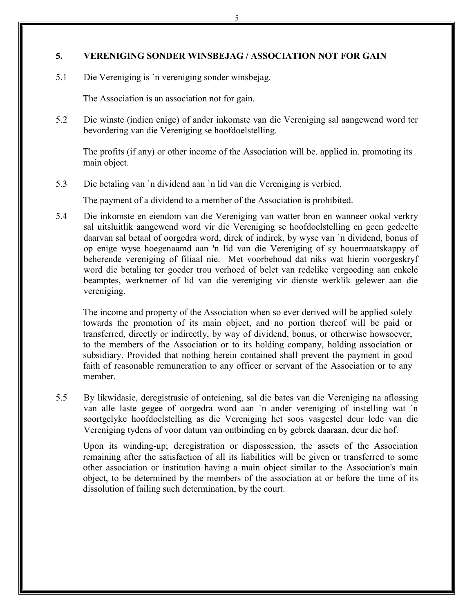#### **5. VERENIGING SONDER WINSBEJAG / ASSOCIATION NOT FOR GAIN**

5.1 Die Vereniging is `n vereniging sonder winsbejag.

The Association is an association not for gain.

5.2 Die winste (indien enige) of ander inkomste van die Vereniging sal aangewend word ter bevordering van die Vereniging se hoofdoelstelling.

The profits (if any) or other income of the Association will be. applied in. promoting its main object.

5.3 Die betaling van `n dividend aan `n lid van die Vereniging is verbied.

The payment of a dividend to a member of the Association is prohibited.

5.4 Die inkomste en eiendom van die Vereniging van watter bron en wanneer ookal verkry sal uitsluitlik aangewend word vir die Vereniging se hoofdoelstelling en geen gedeelte daarvan sal betaal of oorgedra word, direk of indirek, by wyse van `n dividend, bonus of op enige wyse hoegenaamd aan 'n lid van die Vereniging of sy houermaatskappy of beherende vereniging of filiaal nie. Met voorbehoud dat niks wat hierin voorgeskryf word die betaling ter goeder trou verhoed of belet van redelike vergoeding aan enkele beamptes, werknemer of lid van die vereniging vir dienste werklik gelewer aan die vereniging.

The income and property of the Association when so ever derived will be applied solely towards the promotion of its main object, and no portion thereof will be paid or transferred, directly or indirectly, by way of dividend, bonus, or otherwise howsoever, to the members of the Association or to its holding company, holding association or subsidiary. Provided that nothing herein contained shall prevent the payment in good faith of reasonable remuneration to any officer or servant of the Association or to any member.

5.5 By likwidasie, deregistrasie of onteiening, sal die bates van die Vereniging na aflossing van alle laste gegee of oorgedra word aan `n ander vereniging of instelling wat `n soortgelyke hoofdoelstelling as die Vereniging het soos vasgestel deur lede van die Vereniging tydens of voor datum van ontbinding en by gebrek daaraan, deur die hof.

Upon its winding-up; deregistration or dispossession, the assets of the Association remaining after the satisfaction of all its liabilities will be given or transferred to some other association or institution having a main object similar to the Association's main object, to be determined by the members of the association at or before the time of its dissolution of failing such determination, by the court.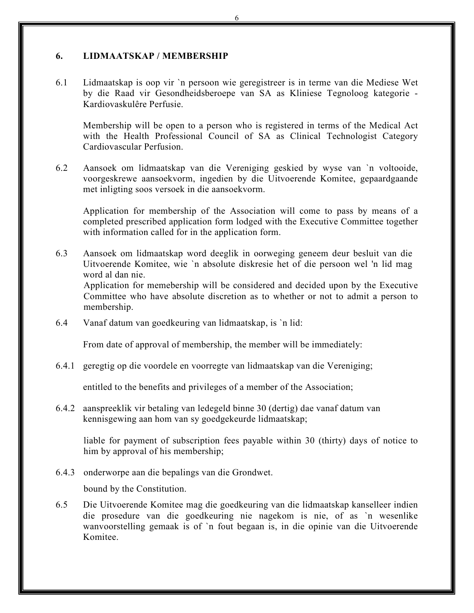#### **6. LIDMAATSKAP / MEMBERSHIP**

6.1 Lidmaatskap is oop vir `n persoon wie geregistreer is in terme van die Mediese Wet by die Raad vir Gesondheidsberoepe van SA as Kliniese Tegnoloog kategorie - Kardiovaskulêre Perfusie.

Membership will be open to a person who is registered in terms of the Medical Act with the Health Professional Council of SA as Clinical Technologist Category Cardiovascular Perfusion.

6.2 Aansoek om lidmaatskap van die Vereniging geskied by wyse van `n voltooide, voorgeskrewe aansoekvorm, ingedien by die Uitvoerende Komitee, gepaardgaande met inligting soos versoek in die aansoekvorm.

Application for membership of the Association will come to pass by means of a completed prescribed application form lodged with the Executive Committee together with information called for in the application form.

6.3 Aansoek om lidmaatskap word deeglik in oorweging geneem deur besluit van die Uitvoerende Komitee, wie `n absolute diskresie het of die persoon wel 'n lid mag word al dan nie. Application for memebership will be considered and decided upon by the Executive

Committee who have absolute discretion as to whether or not to admit a person to membership.

6.4 Vanaf datum van goedkeuring van lidmaatskap, is `n lid:

From date of approval of membership, the member will be immediately:

6.4.1 geregtig op die voordele en voorregte van lidmaatskap van die Vereniging;

entitled to the benefits and privileges of a member of the Association;

6.4.2 aanspreeklik vir betaling van ledegeld binne 30 (dertig) dae vanaf datum van kennisgewing aan hom van sy goedgekeurde lidmaatskap;

liable for payment of subscription fees payable within 30 (thirty) days of notice to him by approval of his membership;

6.4.3 onderworpe aan die bepalings van die Grondwet.

bound by the Constitution.

6.5 Die Uitvoerende Komitee mag die goedkeuring van die lidmaatskap kanselleer indien die prosedure van die goedkeuring nie nagekom is nie, of as `n wesenlike wanvoorstelling gemaak is of `n fout begaan is, in die opinie van die Uitvoerende Komitee.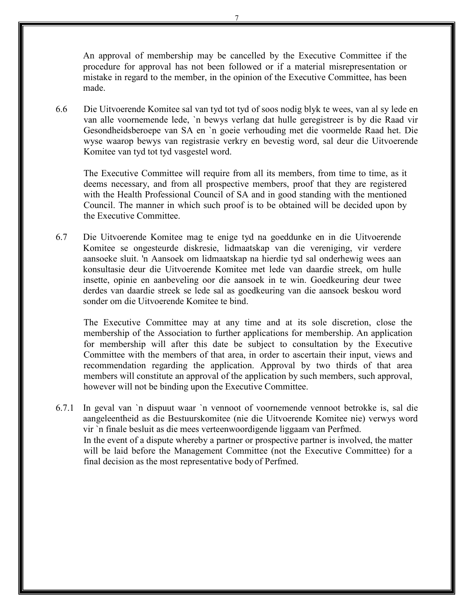An approval of membership may be cancelled by the Executive Committee if the procedure for approval has not been followed or if a material misrepresentation or mistake in regard to the member, in the opinion of the Executive Committee, has been made.

6.6 Die Uitvoerende Komitee sal van tyd tot tyd of soos nodig blyk te wees, van al sy lede en van alle voornemende lede, `n bewys verlang dat hulle geregistreer is by die Raad vir Gesondheidsberoepe van SA en `n goeie verhouding met die voormelde Raad het. Die wyse waarop bewys van registrasie verkry en bevestig word, sal deur die Uitvoerende Komitee van tyd tot tyd vasgestel word.

The Executive Committee will require from all its members, from time to time, as it deems necessary, and from all prospective members, proof that they are registered with the Health Professional Council of SA and in good standing with the mentioned Council. The manner in which such proof is to be obtained will be decided upon by the Executive Committee.

6.7 Die Uitvoerende Komitee mag te enige tyd na goeddunke en in die Uitvoerende Komitee se ongesteurde diskresie, lidmaatskap van die vereniging, vir verdere aansoeke sluit. 'n Aansoek om lidmaatskap na hierdie tyd sal onderhewig wees aan konsultasie deur die Uitvoerende Komitee met lede van daardie streek, om hulle insette, opinie en aanbeveling oor die aansoek in te win. Goedkeuring deur twee derdes van daardie streek se lede sal as goedkeuring van die aansoek beskou word sonder om die Uitvoerende Komitee te bind.

The Executive Committee may at any time and at its sole discretion, close the membership of the Association to further applications for membership. An application for membership will after this date be subject to consultation by the Executive Committee with the members of that area, in order to ascertain their input, views and recommendation regarding the application. Approval by two thirds of that area members will constitute an approval of the application by such members, such approval, however will not be binding upon the Executive Committee.

6.7.1 In geval van `n dispuut waar `n vennoot of voornemende vennoot betrokke is, sal die aangeleentheid as die Bestuurskomitee (nie die Uitvoerende Komitee nie) verwys word vir `n finale besluit as die mees verteenwoordigende liggaam van Perfmed. In the event of a dispute whereby a partner or prospective partner is involved, the matter will be laid before the Management Committee (not the Executive Committee) for a final decision as the most representative body of Perfmed.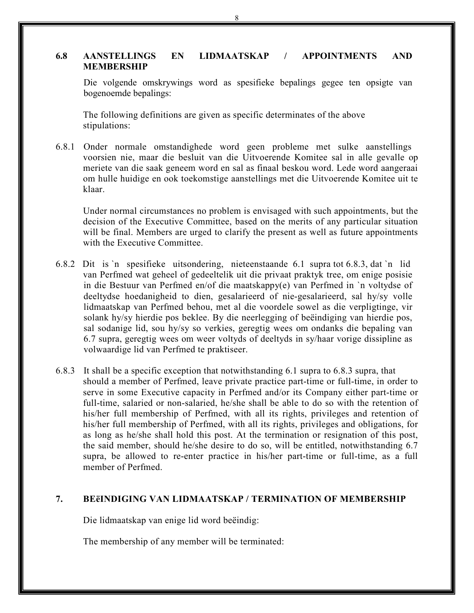#### **6.8 AANSTELLINGS EN LIDMAATSKAP / APPOINTMENTS AND MEMBERSHIP**

Die volgende omskrywings word as spesifieke bepalings gegee ten opsigte van bogenoemde bepalings:

The following definitions are given as specific determinates of the above stipulations:

6.8.1 Onder normale omstandighede word geen probleme met sulke aanstellings voorsien nie, maar die besluit van die Uitvoerende Komitee sal in alle gevalle op meriete van die saak geneem word en sal as finaal beskou word. Lede word aangeraai om hulle huidige en ook toekomstige aanstellings met die Uitvoerende Komitee uit te klaar.

Under normal circumstances no problem is envisaged with such appointments, but the decision of the Executive Committee, based on the merits of any particular situation will be final. Members are urged to clarify the present as well as future appointments with the Executive Committee.

- 6.8.2 Dit is `n spesifieke uitsondering, nieteenstaande 6.1 supra tot 6.8.3, dat `n lid van Perfmed wat geheel of gedeeltelik uit die privaat praktyk tree, om enige posisie in die Bestuur van Perfmed en/of die maatskappy(e) van Perfmed in `n voltydse of deeltydse hoedanigheid to dien, gesalarieerd of nie-gesalarieerd, sal hy/sy volle lidmaatskap van Perfmed behou, met al die voordele sowel as die verpligtinge, vir solank hy/sy hierdie pos beklee. By die neerlegging of beëindiging van hierdie pos, sal sodanige lid, sou hy/sy so verkies, geregtig wees om ondanks die bepaling van 6.7 supra, geregtig wees om weer voltyds of deeltyds in sy/haar vorige dissipline as volwaardige lid van Perfmed te praktiseer.
- 6.8.3 It shall be a specific exception that notwithstanding 6.1 supra to 6.8.3 supra, that should a member of Perfmed, leave private practice part-time or full-time, in order to serve in some Executive capacity in Perfmed and/or its Company either part-time or full-time, salaried or non-salaried, he/she shall be able to do so with the retention of his/her full membership of Perfmed, with all its rights, privileges and retention of his/her full membership of Perfmed, with all its rights, privileges and obligations, for as long as he/she shall hold this post. At the termination or resignation of this post, the said member, should he/she desire to do so, will be entitled, notwithstanding 6.7 supra, be allowed to re-enter practice in his/her part-time or full-time, as a full member of Perfmed.

# **7. BEёINDIGING VAN LIDMAATSKAP / TERMINATION OF MEMBERSHIP**

Die lidmaatskap van enige lid word beёindig:

The membership of any member will be terminated:

8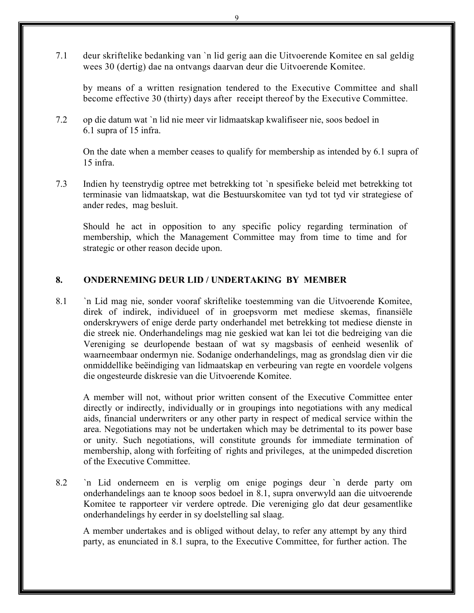7.1 deur skriftelike bedanking van `n lid gerig aan die Uitvoerende Komitee en sal geldig wees 30 (dertig) dae na ontvangs daarvan deur die Uitvoerende Komitee.

by means of a written resignation tendered to the Executive Committee and shall become effective 30 (thirty) days after receipt thereof by the Executive Committee.

7.2 op die datum wat `n lid nie meer vir lidmaatskap kwalifiseer nie, soos bedoel in 6.1 supra of 15 infra.

On the date when a member ceases to qualify for membership as intended by 6.1 supra of 15 infra.

7.3 Indien hy teenstrydig optree met betrekking tot `n spesifieke beleid met betrekking tot terminasie van lidmaatskap, wat die Bestuurskomitee van tyd tot tyd vir strategiese of ander redes, mag besluit.

Should he act in opposition to any specific policy regarding termination of membership, which the Management Committee may from time to time and for strategic or other reason decide upon.

# **8. ONDERNEMING DEUR LID / UNDERTAKING BY MEMBER**

8.1 `n Lid mag nie, sonder vooraf skriftelike toestemming van die Uitvoerende Komitee, direk of indirek, individueel of in groepsvorm met mediese skemas, finansiёle onderskrywers of enige derde party onderhandel met betrekking tot mediese dienste in die streek nie. Onderhandelings mag nie geskied wat kan lei tot die bedreiging van die Vereniging se deurlopende bestaan of wat sy magsbasis of eenheid wesenlik of waarneembaar ondermyn nie. Sodanige onderhandelings, mag as grondslag dien vir die onmiddellike beёindiging van lidmaatskap en verbeuring van regte en voordele volgens die ongesteurde diskresie van die Uitvoerende Komitee.

A member will not, without prior written consent of the Executive Committee enter directly or indirectly, individually or in groupings into negotiations with any medical aids, financial underwriters or any other party in respect of medical service within the area. Negotiations may not be undertaken which may be detrimental to its power base or unity. Such negotiations, will constitute grounds for immediate termination of membership, along with forfeiting of rights and privileges, at the unimpeded discretion of the Executive Committee.

8.2 `n Lid onderneem en is verplig om enige pogings deur `n derde party om onderhandelings aan te knoop soos bedoel in 8.1, supra onverwyld aan die uitvoerende Komitee te rapporteer vir verdere optrede. Die vereniging glo dat deur gesamentlike onderhandelings hy eerder in sy doelstelling sal slaag.

A member undertakes and is obliged without delay, to refer any attempt by any third party, as enunciated in 8.1 supra, to the Executive Committee, for further action. The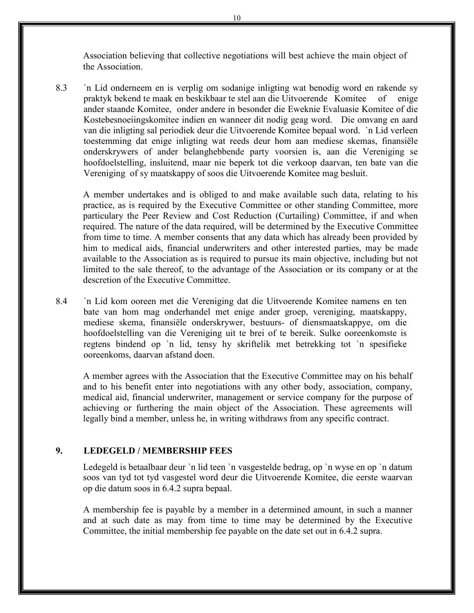Association believing that collective negotiations will best achieve the main object of the Association.

8.3 `n Lid onderneem en is verplig om sodanige inligting wat benodig word en rakende sy praktyk bekend te maak en beskikbaar te stel aan die Uitvoerende Komitee of enige ander staande Komitee, onder andere in besonder die Eweknie Evaluasie Komitee of die Kostebesnoeiingskomitee indien en wanneer dit nodig geag word. Die omvang en aard van die inligting sal periodiek deur die Uitvoerende Komitee bepaal word. `n Lid verleen toestemming dat enige inligting wat reeds deur hom aan mediese skemas, finansiële onderskrywers of ander belanghebbende party voorsien is, aan die Vereniging se hoofdoelstelling, insluitend, maar nie beperk tot die verkoop daarvan, ten bate van die Vereniging of sy maatskappy of soos die Uitvoerende Komitee mag besluit.

A member undertakes and is obliged to and make available such data, relating to his practice, as is required by the Executive Committee or other standing Committee, more particulary the Peer Review and Cost Reduction (Curtailing) Committee, if and when required. The nature of the data required, will be determined by the Executive Committee from time to time. A member consents that any data which has already been provided by him to medical aids, financial underwriters and other interested parties, may be made available to the Association as is required to pursue its main objective, including but not limited to the sale thereof, to the advantage of the Association or its company or at the descretion of the Executive Committee.

8.4 `n Lid kom ooreen met die Vereniging dat die Uitvoerende Komitee namens en ten bate van hom mag onderhandel met enige ander groep, vereniging, maatskappy, mediese skema, finansiële onderskrywer, bestuurs- of diensmaatskappye, om die hoofdoelstelling van die Vereniging uit te brei of te bereik. Sulke ooreenkomste is regtens bindend op `n lid, tensy hy skriftelik met betrekking tot `n spesifieke ooreenkoms, daarvan afstand doen.

A member agrees with the Association that the Executive Committee may on his behalf and to his benefit enter into negotiations with any other body, association, company, medical aid, financial underwriter, management or service company for the purpose of achieving or furthering the main object of the Association. These agreements will legally bind a member, unless he, in writing withdraws from any specific contract.

#### **9. LEDEGELD / MEMBERSHIP FEES**

Ledegeld is betaalbaar deur `n lid teen `n vasgestelde bedrag, op `n wyse en op `n datum soos van tyd tot tyd vasgestel word deur die Uitvoerende Komitee, die eerste waarvan op die datum soos in 6.4.2 supra bepaal.

A membership fee is payable by a member in a determined amount, in such a manner and at such date as may from time to time may be determined by the Executive Committee, the initial membership fee payable on the date set out in 6.4.2 supra.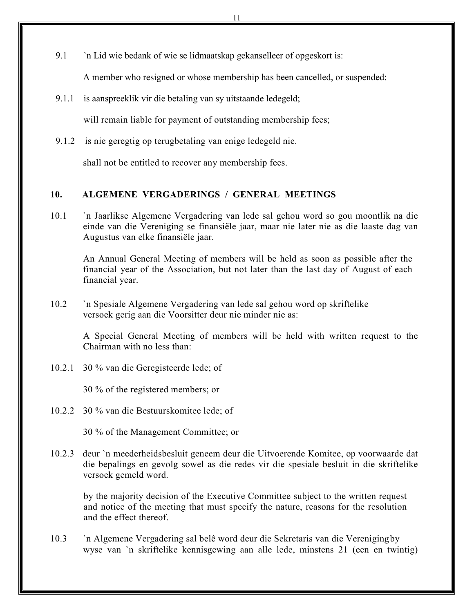9.1 `n Lid wie bedank of wie se lidmaatskap gekanselleer of opgeskort is:

A member who resigned or whose membership has been cancelled, or suspended:

9.1.1 is aanspreeklik vir die betaling van sy uitstaande ledegeld;

will remain liable for payment of outstanding membership fees;

9.1.2 is nie geregtig op terugbetaling van enige ledegeld nie.

shall not be entitled to recover any membership fees.

# **10. ALGEMENE VERGADERINGS / GENERAL MEETINGS**

10.1 `n Jaarlikse Algemene Vergadering van lede sal gehou word so gou moontlik na die einde van die Vereniging se finansiёle jaar, maar nie later nie as die laaste dag van Augustus van elke finansiële jaar.

 An Annual General Meeting of members will be held as soon as possible after the financial year of the Association, but not later than the last day of August of each financial year.

10.2 `n Spesiale Algemene Vergadering van lede sal gehou word op skriftelike versoek gerig aan die Voorsitter deur nie minder nie as:

 A Special General Meeting of members will be held with written request to the Chairman with no less than:

10.2.1 30 % van die Geregisteerde lede; of

30 % of the registered members; or

10.2.2 30 % van die Bestuurskomitee lede; of

30 % of the Management Committee; or

10.2.3 deur `n meederheidsbesluit geneem deur die Uitvoerende Komitee, op voorwaarde dat die bepalings en gevolg sowel as die redes vir die spesiale besluit in die skriftelike versoek gemeld word.

 by the majority decision of the Executive Committee subject to the written request and notice of the meeting that must specify the nature, reasons for the resolution and the effect thereof.

10.3 `n Algemene Vergadering sal belê word deur die Sekretaris van die Vereniging by wyse van `n skriftelike kennisgewing aan alle lede, minstens 21 (een en twintig)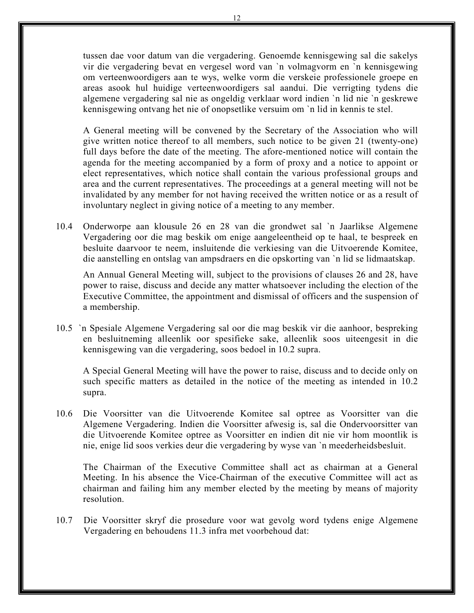tussen dae voor datum van die vergadering. Genoemde kennisgewing sal die sakelys vir die vergadering bevat en vergesel word van `n volmagvorm en `n kennisgewing om verteenwoordigers aan te wys, welke vorm die verskeie professionele groepe en areas asook hul huidige verteenwoordigers sal aandui. Die verrigting tydens die algemene vergadering sal nie as ongeldig verklaar word indien `n lid nie `n geskrewe kennisgewing ontvang het nie of onopsetlike versuim om `n lid in kennis te stel.

A General meeting will be convened by the Secretary of the Association who will give written notice thereof to all members, such notice to be given 21 (twenty-one) full days before the date of the meeting. The afore-mentioned notice will contain the agenda for the meeting accompanied by a form of proxy and a notice to appoint or elect representatives, which notice shall contain the various professional groups and area and the current representatives. The proceedings at a general meeting will not be invalidated by any member for not having received the written notice or as a result of involuntary neglect in giving notice of a meeting to any member.

10.4 Onderworpe aan klousule 26 en 28 van die grondwet sal `n Jaarlikse Algemene Vergadering oor die mag beskik om enige aangeleentheid op te haal, te bespreek en besluite daarvoor te neem, insluitende die verkiesing van die Uitvoerende Komitee, die aanstelling en ontslag van ampsdraers en die opskorting van `n lid se lidmaatskap.

An Annual General Meeting will, subject to the provisions of clauses 26 and 28, have power to raise, discuss and decide any matter whatsoever including the election of the Executive Committee, the appointment and dismissal of officers and the suspension of a membership.

10.5 `n Spesiale Algemene Vergadering sal oor die mag beskik vir die aanhoor, bespreking en besluitneming alleenlik oor spesifieke sake, alleenlik soos uiteengesit in die kennisgewing van die vergadering, soos bedoel in 10.2 supra.

 A Special General Meeting will have the power to raise, discuss and to decide only on such specific matters as detailed in the notice of the meeting as intended in 10.2 supra.

10.6 Die Voorsitter van die Uitvoerende Komitee sal optree as Voorsitter van die Algemene Vergadering. Indien die Voorsitter afwesig is, sal die Ondervoorsitter van die Uitvoerende Komitee optree as Voorsitter en indien dit nie vir hom moontlik is nie, enige lid soos verkies deur die vergadering by wyse van `n meederheidsbesluit.

 The Chairman of the Executive Committee shall act as chairman at a General Meeting. In his absence the Vice-Chairman of the executive Committee will act as chairman and failing him any member elected by the meeting by means of majority resolution.

10.7 Die Voorsitter skryf die prosedure voor wat gevolg word tydens enige Algemene Vergadering en behoudens 11.3 infra met voorbehoud dat: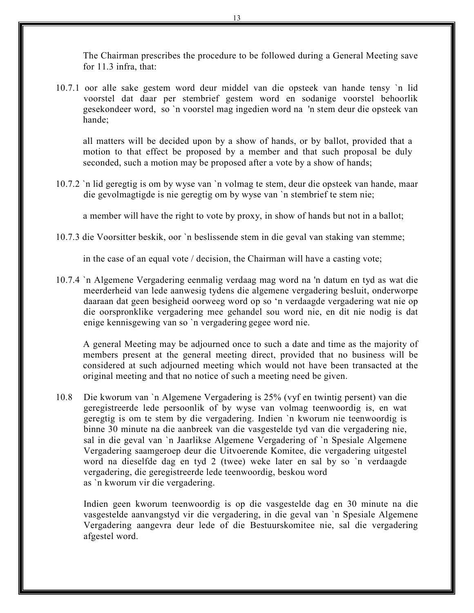The Chairman prescribes the procedure to be followed during a General Meeting save for 11.3 infra, that:

10.7.1 oor alle sake gestem word deur middel van die opsteek van hande tensy `n lid voorstel dat daar per stembrief gestem word en sodanige voorstel behoorlik gesekondeer word, so `n voorstel mag ingedien word na 'n stem deur die opsteek van hande;

all matters will be decided upon by a show of hands, or by ballot, provided that a motion to that effect be proposed by a member and that such proposal be duly seconded, such a motion may be proposed after a vote by a show of hands;

10.7.2 `n lid geregtig is om by wyse van `n volmag te stem, deur die opsteek van hande, maar die gevolmagtigde is nie geregtig om by wyse van `n stembrief te stem nie;

a member will have the right to vote by proxy, in show of hands but not in a ballot;

10.7.3 die Voorsitter beskik, oor `n beslissende stem in die geval van staking van stemme;

in the case of an equal vote / decision, the Chairman will have a casting vote;

10.7.4 `n Algemene Vergadering eenmalig verdaag mag word na 'n datum en tyd as wat die meerderheid van lede aanwesig tydens die algemene vergadering besluit, onderworpe daaraan dat geen besigheid oorweeg word op so 'n verdaagde vergadering wat nie op die oorspronklike vergadering mee gehandel sou word nie, en dit nie nodig is dat enige kennisgewing van so `n vergadering gegee word nie.

A general Meeting may be adjourned once to such a date and time as the majority of members present at the general meeting direct, provided that no business will be considered at such adjourned meeting which would not have been transacted at the original meeting and that no notice of such a meeting need be given.

10.8 Die kworum van `n Algemene Vergadering is 25% (vyf en twintig persent) van die geregistreerde lede persoonlik of by wyse van volmag teenwoordig is, en wat geregtig is om te stem by die vergadering. Indien `n kworum nie teenwoordig is binne 30 minute na die aanbreek van die vasgestelde tyd van die vergadering nie, sal in die geval van `n Jaarlikse Algemene Vergadering of `n Spesiale Algemene Vergadering saamgeroep deur die Uitvoerende Komitee, die vergadering uitgestel word na dieselfde dag en tyd 2 (twee) weke later en sal by so `n verdaagde vergadering, die geregistreerde lede teenwoordig, beskou word as `n kworum vir die vergadering.

Indien geen kworum teenwoordig is op die vasgestelde dag en 30 minute na die vasgestelde aanvangstyd vir die vergadering, in die geval van `n Spesiale Algemene Vergadering aangevra deur lede of die Bestuurskomitee nie, sal die vergadering afgestel word.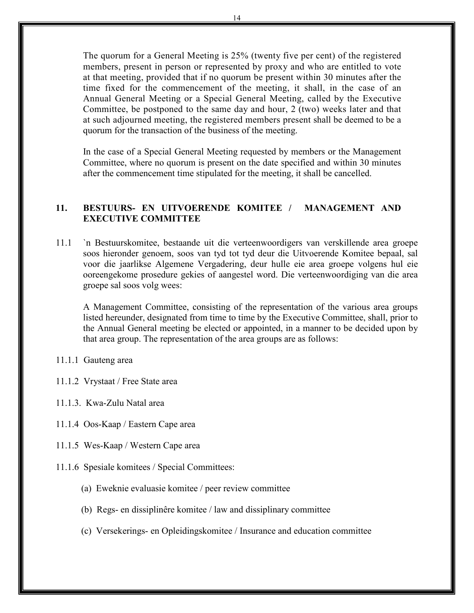The quorum for a General Meeting is 25% (twenty five per cent) of the registered members, present in person or represented by proxy and who are entitled to vote at that meeting, provided that if no quorum be present within 30 minutes after the time fixed for the commencement of the meeting, it shall, in the case of an Annual General Meeting or a Special General Meeting, called by the Executive Committee, be postponed to the same day and hour, 2 (two) weeks later and that at such adjourned meeting, the registered members present shall be deemed to be a quorum for the transaction of the business of the meeting.

In the case of a Special General Meeting requested by members or the Management Committee, where no quorum is present on the date specified and within 30 minutes after the commencement time stipulated for the meeting, it shall be cancelled.

# **11. BESTUURS- EN UITVOERENDE KOMITEE / MANAGEMENT AND EXECUTIVE COMMITTEE**

11.1 `n Bestuurskomitee, bestaande uit die verteenwoordigers van verskillende area groepe soos hieronder genoem, soos van tyd tot tyd deur die Uitvoerende Komitee bepaal, sal voor die jaarlikse Algemene Vergadering, deur hulle eie area groepe volgens hul eie ooreengekome prosedure gekies of aangestel word. Die verteenwoordiging van die area groepe sal soos volg wees:

A Management Committee, consisting of the representation of the various area groups listed hereunder, designated from time to time by the Executive Committee, shall, prior to the Annual General meeting be elected or appointed, in a manner to be decided upon by that area group. The representation of the area groups are as follows:

- 11.1.1 Gauteng area
- 11.1.2 Vrystaat / Free State area
- 11.1.3. Kwa-Zulu Natal area
- 11.1.4 Oos-Kaap / Eastern Cape area
- 11.1.5 Wes-Kaap / Western Cape area
- 11.1.6 Spesiale komitees / Special Committees:
	- (a) Eweknie evaluasie komitee / peer review committee
	- (b) Regs- en dissiplinêre komitee / law and dissiplinary committee
	- (c) Versekerings- en Opleidingskomitee / Insurance and education committee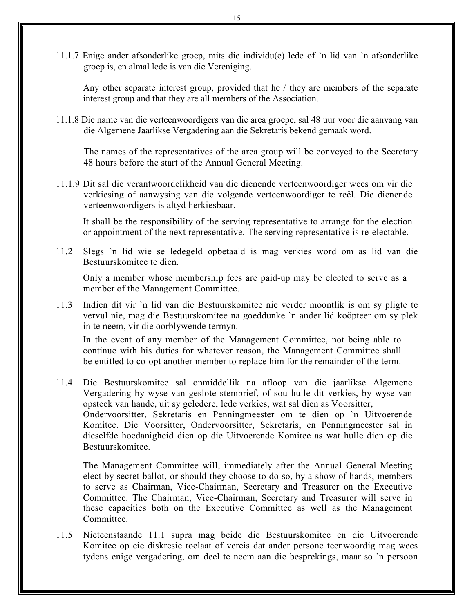11.1.7 Enige ander afsonderlike groep, mits die individu(e) lede of `n lid van `n afsonderlike groep is, en almal lede is van die Vereniging.

Any other separate interest group, provided that he / they are members of the separate interest group and that they are all members of the Association.

11.1.8 Die name van die verteenwoordigers van die area groepe, sal 48 uur voor die aanvang van die Algemene Jaarlikse Vergadering aan die Sekretaris bekend gemaak word.

The names of the representatives of the area group will be conveyed to the Secretary 48 hours before the start of the Annual General Meeting.

11.1.9 Dit sal die verantwoordelikheid van die dienende verteenwoordiger wees om vir die verkiesing of aanwysing van die volgende verteenwoordiger te reёl. Die dienende verteenwoordigers is altyd herkiesbaar.

It shall be the responsibility of the serving representative to arrange for the election or appointment of the next representative. The serving representative is re-electable.

11.2 Slegs `n lid wie se ledegeld opbetaald is mag verkies word om as lid van die Bestuurskomitee te dien.

Only a member whose membership fees are paid-up may be elected to serve as a member of the Management Committee.

11.3 Indien dit vir `n lid van die Bestuurskomitee nie verder moontlik is om sy pligte te vervul nie, mag die Bestuurskomitee na goeddunke `n ander lid koöpteer om sy plek in te neem, vir die oorblywende termyn.

 In the event of any member of the Management Committee, not being able to continue with his duties for whatever reason, the Management Committee shall be entitled to co-opt another member to replace him for the remainder of the term.

11.4 Die Bestuurskomitee sal onmiddellik na afloop van die jaarlikse Algemene Vergadering by wyse van geslote stembrief, of sou hulle dit verkies, by wyse van opsteek van hande, uit sy geledere, lede verkies, wat sal dien as Voorsitter, Ondervoorsitter, Sekretaris en Penningmeester om te dien op `n Uitvoerende Komitee. Die Voorsitter, Ondervoorsitter, Sekretaris, en Penningmeester sal in dieselfde hoedanigheid dien op die Uitvoerende Komitee as wat hulle dien op die Bestuurskomitee.

The Management Committee will, immediately after the Annual General Meeting elect by secret ballot, or should they choose to do so, by a show of hands, members to serve as Chairman, Vice-Chairman, Secretary and Treasurer on the Executive Committee. The Chairman, Vice-Chairman, Secretary and Treasurer will serve in these capacities both on the Executive Committee as well as the Management Committee.

11.5 Nieteenstaande 11.1 supra mag beide die Bestuurskomitee en die Uitvoerende Komitee op eie diskresie toelaat of vereis dat ander persone teenwoordig mag wees tydens enige vergadering, om deel te neem aan die besprekings, maar so `n persoon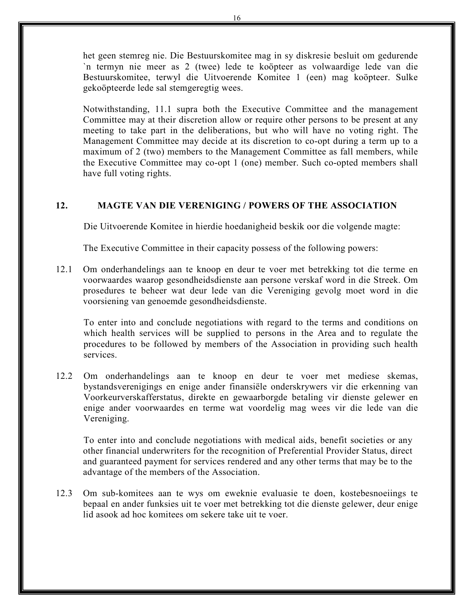het geen stemreg nie. Die Bestuurskomitee mag in sy diskresie besluit om gedurende `n termyn nie meer as 2 (twee) lede te koöpteer as volwaardige lede van die Bestuurskomitee, terwyl die Uitvoerende Komitee 1 (een) mag koöpteer. Sulke gekoöpteerde lede sal stemgeregtig wees.

 Notwithstanding, 11.1 supra both the Executive Committee and the management Committee may at their discretion allow or require other persons to be present at any meeting to take part in the deliberations, but who will have no voting right. The Management Committee may decide at its discretion to co-opt during a term up to a maximum of 2 (two) members to the Management Committee as fall members, while the Executive Committee may co-opt 1 (one) member. Such co-opted members shall have full voting rights.

# **12. MAGTE VAN DIE VERENIGING / POWERS OF THE ASSOCIATION**

Die Uitvoerende Komitee in hierdie hoedanigheid beskik oor die volgende magte:

The Executive Committee in their capacity possess of the following powers:

12.1 Om onderhandelings aan te knoop en deur te voer met betrekking tot die terme en voorwaardes waarop gesondheidsdienste aan persone verskaf word in die Streek. Om prosedures te beheer wat deur lede van die Vereniging gevolg moet word in die voorsiening van genoemde gesondheidsdienste.

To enter into and conclude negotiations with regard to the terms and conditions on which health services will be supplied to persons in the Area and to regulate the procedures to be followed by members of the Association in providing such health services.

12.2 Om onderhandelings aan te knoop en deur te voer met mediese skemas, bystandsverenigings en enige ander finansiёle onderskrywers vir die erkenning van Voorkeurverskafferstatus, direkte en gewaarborgde betaling vir dienste gelewer en enige ander voorwaardes en terme wat voordelig mag wees vir die lede van die Vereniging.

To enter into and conclude negotiations with medical aids, benefit societies or any other financial underwriters for the recognition of Preferential Provider Status, direct and guaranteed payment for services rendered and any other terms that may be to the advantage of the members of the Association.

12.3 Om sub-komitees aan te wys om eweknie evaluasie te doen, kostebesnoeiings te bepaal en ander funksies uit te voer met betrekking tot die dienste gelewer, deur enige lid asook ad hoc komitees om sekere take uit te voer.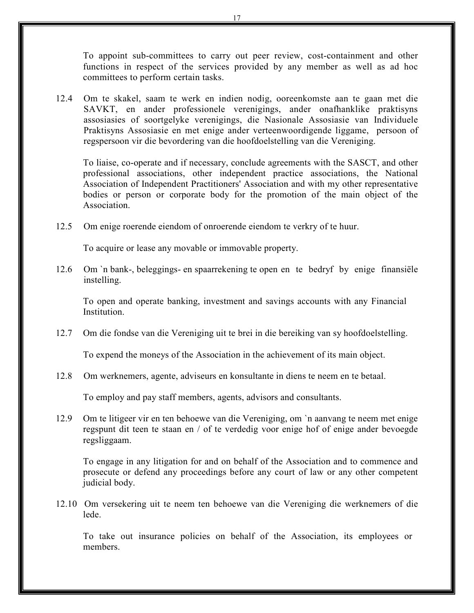To appoint sub-committees to carry out peer review, cost-containment and other functions in respect of the services provided by any member as well as ad hoc committees to perform certain tasks.

12.4 Om te skakel, saam te werk en indien nodig, ooreenkomste aan te gaan met die SAVKT, en ander professionele verenigings, ander onafhanklike praktisyns assosiasies of soortgelyke verenigings, die Nasionale Assosiasie van Individuele Praktisyns Assosiasie en met enige ander verteenwoordigende liggame, persoon of regspersoon vir die bevordering van die hoofdoelstelling van die Vereniging.

To liaise, co-operate and if necessary, conclude agreements with the SASCT, and other professional associations, other independent practice associations, the National Association of Independent Practitioners' Association and with my other representative bodies or person or corporate body for the promotion of the main object of the Association.

12.5 Om enige roerende eiendom of onroerende eiendom te verkry of te huur.

To acquire or lease any movable or immovable property.

12.6 Om `n bank-, beleggings- en spaarrekening te open en te bedryf by enige finansiёle instelling.

To open and operate banking, investment and savings accounts with any Financial Institution.

12.7 Om die fondse van die Vereniging uit te brei in die bereiking van sy hoofdoelstelling.

To expend the moneys of the Association in the achievement of its main object.

12.8 Om werknemers, agente, adviseurs en konsultante in diens te neem en te betaal.

To employ and pay staff members, agents, advisors and consultants.

12.9 Om te litigeer vir en ten behoewe van die Vereniging, om `n aanvang te neem met enige regspunt dit teen te staan en / of te verdedig voor enige hof of enige ander bevoegde regsliggaam.

To engage in any litigation for and on behalf of the Association and to commence and prosecute or defend any proceedings before any court of law or any other competent judicial body.

12.10 Om versekering uit te neem ten behoewe van die Vereniging die werknemers of die lede.

To take out insurance policies on behalf of the Association, its employees or members.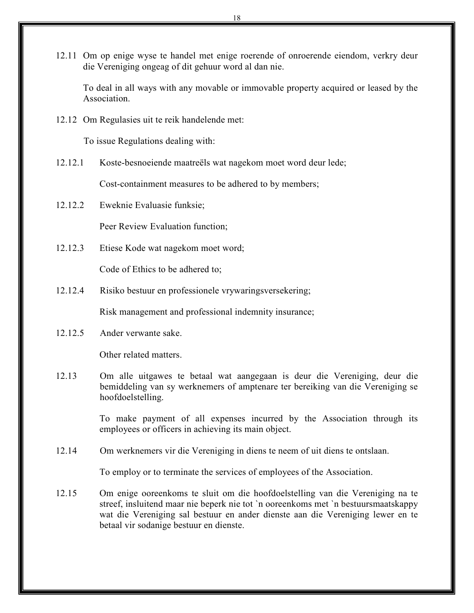12.11 Om op enige wyse te handel met enige roerende of onroerende eiendom, verkry deur die Vereniging ongeag of dit gehuur word al dan nie.

To deal in all ways with any movable or immovable property acquired or leased by the **Association** 

12.12 Om Regulasies uit te reik handelende met:

To issue Regulations dealing with:

12.12.1 Koste-besnoeiende maatreëls wat nagekom moet word deur lede;

Cost-containment measures to be adhered to by members;

12.12.2 Eweknie Evaluasie funksie;

Peer Review Evaluation function;

12.12.3 Etiese Kode wat nagekom moet word;

Code of Ethics to be adhered to;

12.12.4 Risiko bestuur en professionele vrywaringsversekering;

Risk management and professional indemnity insurance;

12.12.5 Ander verwante sake.

Other related matters.

12.13 Om alle uitgawes te betaal wat aangegaan is deur die Vereniging, deur die bemiddeling van sy werknemers of amptenare ter bereiking van die Vereniging se hoofdoelstelling.

> To make payment of all expenses incurred by the Association through its employees or officers in achieving its main object.

12.14 Om werknemers vir die Vereniging in diens te neem of uit diens te ontslaan.

To employ or to terminate the services of employees of the Association.

12.15 Om enige ooreenkoms te sluit om die hoofdoelstelling van die Vereniging na te streef, insluitend maar nie beperk nie tot `n ooreenkoms met `n bestuursmaatskappy wat die Vereniging sal bestuur en ander dienste aan die Vereniging lewer en te betaal vir sodanige bestuur en dienste.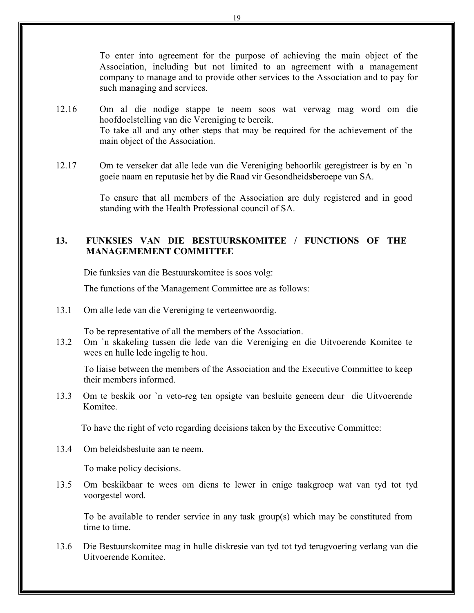To enter into agreement for the purpose of achieving the main object of the Association, including but not limited to an agreement with a management company to manage and to provide other services to the Association and to pay for such managing and services.

- 12.16 Om al die nodige stappe te neem soos wat verwag mag word om die hoofdoelstelling van die Vereniging te bereik. To take all and any other steps that may be required for the achievement of the main object of the Association.
- 12.17 Om te verseker dat alle lede van die Vereniging behoorlik geregistreer is by en `n goeie naam en reputasie het by die Raad vir Gesondheidsberoepe van SA.

To ensure that all members of the Association are duly registered and in good standing with the Health Professional council of SA.

# **13. FUNKSIES VAN DIE BESTUURSKOMITEE / FUNCTIONS OF THE MANAGEMEMENT COMMITTEE**

Die funksies van die Bestuurskomitee is soos volg:

The functions of the Management Committee are as follows:

13.1 Om alle lede van die Vereniging te verteenwoordig.

To be representative of all the members of the Association.

13.2 Om `n skakeling tussen die lede van die Vereniging en die Uitvoerende Komitee te wees en hulle lede ingelig te hou.

To liaise between the members of the Association and the Executive Committee to keep their members informed.

13.3 Om te beskik oor `n veto-reg ten opsigte van besluite geneem deur die Uitvoerende Komitee.

To have the right of veto regarding decisions taken by the Executive Committee:

13.4 Om beleidsbesluite aan te neem.

To make policy decisions.

13.5 Om beskikbaar te wees om diens te lewer in enige taakgroep wat van tyd tot tyd voorgestel word.

To be available to render service in any task group(s) which may be constituted from time to time.

13.6 Die Bestuurskomitee mag in hulle diskresie van tyd tot tyd terugvoering verlang van die Uitvoerende Komitee.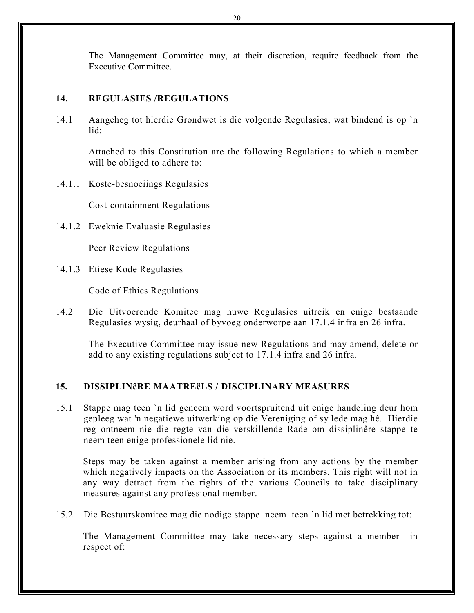The Management Committee may, at their discretion, require feedback from the Executive Committee.

## **14. REGULASIES /REGULATIONS**

14.1 Aangeheg tot hierdie Grondwet is die volgende Regulasies, wat bindend is op `n lid:

Attached to this Constitution are the following Regulations to which a member will be obliged to adhere to:

14.1.1 Koste-besnoeiings Regulasies

Cost-containment Regulations

14.1.2 Eweknie Evaluasie Regulasies

Peer Review Regulations

14.1.3 Etiese Kode Regulasies

Code of Ethics Regulations

14.2 Die Uitvoerende Komitee mag nuwe Regulasies uitreik en enige bestaande Regulasies wysig, deurhaal of byvoeg onderworpe aan 17.1.4 infra en 26 infra.

The Executive Committee may issue new Regulations and may amend, delete or add to any existing regulations subject to 17.1.4 infra and 26 infra.

# **15. DISSIPLINêRE MAATREёLS / DISCIPLINARY MEASURES**

15.1 Stappe mag teen `n lid geneem word voortspruitend uit enige handeling deur hom gepleeg wat 'n negatiewe uitwerking op die Vereniging of sy lede mag hê. Hierdie reg ontneem nie die regte van die verskillende Rade om dissiplinêre stappe te neem teen enige professionele lid nie.

Steps may be taken against a member arising from any actions by the member which negatively impacts on the Association or its members. This right will not in any way detract from the rights of the various Councils to take disciplinary measures against any professional member.

15.2 Die Bestuurskomitee mag die nodige stappe neem teen `n lid met betrekking tot:

The Management Committee may take necessary steps against a member in respect of: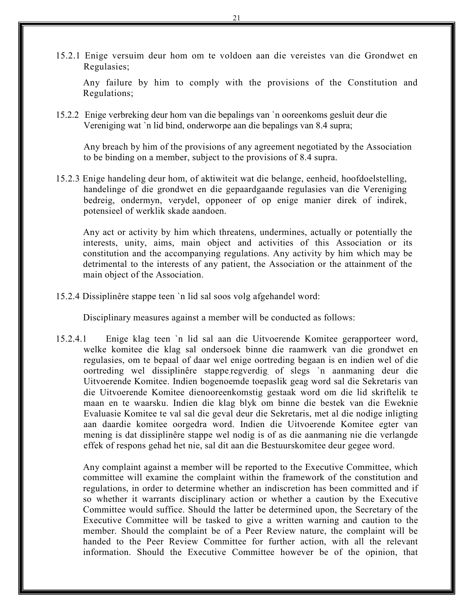15.2.1 Enige versuim deur hom om te voldoen aan die vereistes van die Grondwet en Regulasies;

Any failure by him to comply with the provisions of the Constitution and Regulations;

15.2.2 Enige verbreking deur hom van die bepalings van `n ooreenkoms gesluit deur die Vereniging wat `n lid bind, onderworpe aan die bepalings van 8.4 supra;

Any breach by him of the provisions of any agreement negotiated by the Association to be binding on a member, subject to the provisions of 8.4 supra.

15.2.3 Enige handeling deur hom, of aktiwiteit wat die belange, eenheid, hoofdoelstelling, handelinge of die grondwet en die gepaardgaande regulasies van die Vereniging bedreig, ondermyn, verydel, opponeer of op enige manier direk of indirek, potensieel of werklik skade aandoen.

Any act or activity by him which threatens, undermines, actually or potentially the interests, unity, aims, main object and activities of this Association or its constitution and the accompanying regulations. Any activity by him which may be detrimental to the interests of any patient, the Association or the attainment of the main object of the Association.

15.2.4 Dissiplinêre stappe teen `n lid sal soos volg afgehandel word:

Disciplinary measures against a member will be conducted as follows:

15.2.4.1 Enige klag teen `n lid sal aan die Uitvoerende Komitee gerapporteer word, welke komitee die klag sal ondersoek binne die raamwerk van die grondwet en regulasies, om te bepaal of daar wel enige oortreding begaan is en indien wel of die oortreding wel dissiplinêre stappe.regverdig of slegs `n aanmaning deur die Uitvoerende Komitee. Indien bogenoemde toepaslik geag word sal die Sekretaris van die Uitvoerende Komitee dienooreenkomstig gestaak word om die lid skriftelik te maan en te waarsku. Indien die klag blyk om binne die bestek van die Eweknie Evaluasie Komitee te val sal die geval deur die Sekretaris, met al die nodige inligting aan daardie komitee oorgedra word. Indien die Uitvoerende Komitee egter van mening is dat dissiplinêre stappe wel nodig is of as die aanmaning nie die verlangde effek of respons gehad het nie, sal dit aan die Bestuurskomitee deur gegee word.

Any complaint against a member will be reported to the Executive Committee, which committee will examine the complaint within the framework of the constitution and regulations, in order to determine whether an indiscretion has been committed and if so whether it warrants disciplinary action or whether a caution by the Executive Committee would suffice. Should the latter be determined upon, the Secretary of the Executive Committee will be tasked to give a written warning and caution to the member. Should the complaint be of a Peer Review nature, the complaint will be handed to the Peer Review Committee for further action, with all the relevant information. Should the Executive Committee however be of the opinion, that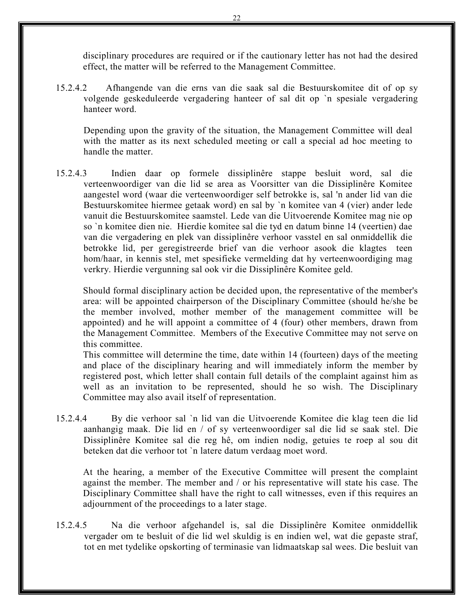disciplinary procedures are required or if the cautionary letter has not had the desired effect, the matter will be referred to the Management Committee.

15.2.4.2 Afhangende van die erns van die saak sal die Bestuurskomitee dit of op sy volgende geskeduleerde vergadering hanteer of sal dit op `n spesiale vergadering hanteer word.

Depending upon the gravity of the situation, the Management Committee will deal with the matter as its next scheduled meeting or call a special ad hoc meeting to handle the matter.

15.2.4.3 Indien daar op formele dissiplinêre stappe besluit word, sal die verteenwoordiger van die lid se area as Voorsitter van die Dissiplinêre Komitee aangestel word (waar die verteenwoordiger self betrokke is, sal 'n ander lid van die Bestuurskomitee hiermee getaak word) en sal by `n komitee van 4 (vier) ander lede vanuit die Bestuurskomitee saamstel. Lede van die Uitvoerende Komitee mag nie op so `n komitee dien nie. Hierdie komitee sal die tyd en datum binne 14 (veertien) dae van die vergadering en plek van dissiplinêre verhoor vasstel en sal onmiddellik die betrokke lid, per geregistreerde brief van die verhoor asook die klagtes teen hom/haar, in kennis stel, met spesifieke vermelding dat hy verteenwoordiging mag verkry. Hierdie vergunning sal ook vir die Dissiplinêre Komitee geld.

Should formal disciplinary action be decided upon, the representative of the member's area: will be appointed chairperson of the Disciplinary Committee (should he/she be the member involved, mother member of the management committee will be appointed) and he will appoint a committee of 4 (four) other members, drawn from the Management Committee. Members of the Executive Committee may not serve on this committee.

This committee will determine the time, date within 14 (fourteen) days of the meeting and place of the disciplinary hearing and will immediately inform the member by registered post, which letter shall contain full details of the complaint against him as well as an invitation to be represented, should he so wish. The Disciplinary Committee may also avail itself of representation.

15.2.4.4 By die verhoor sal `n lid van die Uitvoerende Komitee die klag teen die lid aanhangig maak. Die lid en / of sy verteenwoordiger sal die lid se saak stel. Die Dissiplinêre Komitee sal die reg hê, om indien nodig, getuies te roep al sou dit beteken dat die verhoor tot `n latere datum verdaag moet word.

At the hearing, a member of the Executive Committee will present the complaint against the member. The member and / or his representative will state his case. The Disciplinary Committee shall have the right to call witnesses, even if this requires an adjournment of the proceedings to a later stage.

15.2.4.5 Na die verhoor afgehandel is, sal die Dissiplinêre Komitee onmiddellik vergader om te besluit of die lid wel skuldig is en indien wel, wat die gepaste straf, tot en met tydelike opskorting of terminasie van lidmaatskap sal wees. Die besluit van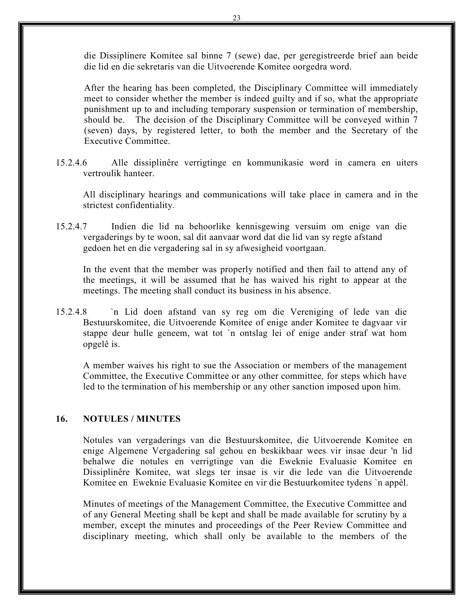die Dissiplinere Komitee sal binne 7 (sewe) dae, per geregistreerde brief aan beide die lid en die sekretaris van die Uitvoerende Komitee oorgedra word.

After the hearing has been completed, the Disciplinary Committee will immediately meet to consider whether the member is indeed guilty and if so, what the appropriate punishment up to and including temporary suspension or termination of membership, should be. The decision of the Disciplinary Committee will be conveyed within 7 (seven) days, by registered letter, to both the member and the Secretary of the Executive Committee.

15.2.4.6 Alle dissiplinêre verrigtinge en kommunikasie word in camera en uiters vertroulik hanteer.

 All disciplinary hearings and communications will take place in camera and in the strictest confidentiality.

15.2.4.7 Indien die lid na behoorlike kennisgewing versuim om enige van die vergaderings by te woon, sal dit aanvaar word dat die lid van sy regte afstand gedoen het en die vergadering sal in sy afwesigheid voortgaan.

In the event that the member was properly notified and then fail to attend any of the meetings, it will be assumed that he has waived his right to appear at the meetings. The meeting shall conduct its business in his absence.

15.2.4.8 `n Lid doen afstand van sy reg om die Vereniging of lede van die Bestuurskomitee, die Uitvoerende Komitee of enige ander Komitee te dagvaar vir stappe deur hulle geneem, wat tot `n ontslag lei of enige ander straf wat hom opgelê is.

A member waives his right to sue the Association or members of the management Committee, the Executive Committee or any other committee*,* for steps which have led to the termination of his membership or any other sanction imposed upon him.

# **16. NOTULES / MINUTES**

Notules van vergaderings van die Bestuurskomitee, die Uitvoerende Komitee en enige Algemene Vergadering sal gehou en beskikbaar wees vir insae deur 'n lid behalwe die notules en verrigtinge van die Eweknie Evaluasie Komitee en Dissiplinêre Komitee, wat slegs ter insae is vir die lede van die Uitvoerende Komitee en Eweknie Evaluasie Komitee en vir die Bestuurkomitee tydens `n appèl.

Minutes of meetings of the Management Committee, the Executive Committee and of any General Meeting shall be kept and shall be made available for scrutiny by a member, except the minutes and proceedings of the Peer Review Committee and disciplinary meeting, which shall only be available to the members of the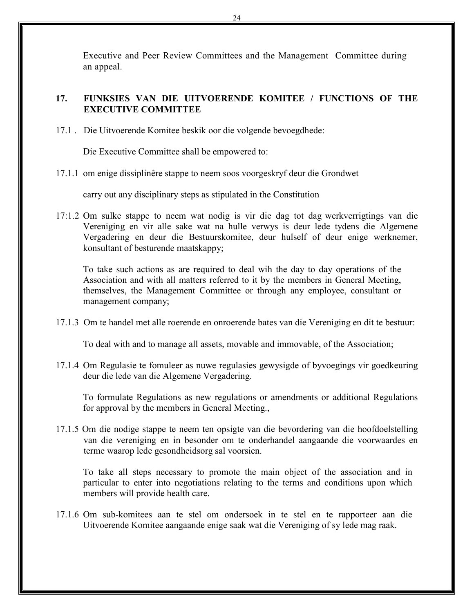Executive and Peer Review Committees and the Management Committee during an appeal.

# **17. FUNKSIES VAN DIE UITVOERENDE KOMITEE / FUNCTIONS OF THE EXECUTIVE COMMITTEE**

17.1 . Die Uitvoerende Komitee beskik oor die volgende bevoegdhede:

Die Executive Committee shall be empowered to:

17.1.1 om enige dissiplinêre stappe to neem soos voorgeskryf deur die Grondwet

carry out any disciplinary steps as stipulated in the Constitution

17:1.2 Om sulke stappe to neem wat nodig is vir die dag tot dag werkverrigtings van die Vereniging en vir alle sake wat na hulle verwys is deur lede tydens die Algemene Vergadering en deur die Bestuurskomitee, deur hulself of deur enige werknemer, konsultant of besturende maatskappy;

To take such actions as are required to deal wih the day to day operations of the Association and with all matters referred to it by the members in General Meeting, themselves, the Management Committee or through any employee, consultant or management company;

17.1.3 Om te handel met alle roerende en onroerende bates van die Vereniging en dit te bestuur:

To deal with and to manage all assets, movable and immovable, of the Association;

17.1.4 Om Regulasie te fomuleer as nuwe regulasies gewysigde of byvoegings vir goedkeuring deur die lede van die Algemene Vergadering.

To formulate Regulations as new regulations or amendments or additional Regulations for approval by the members in General Meeting.,

17.1.5 Om die nodige stappe te neem ten opsigte van die bevordering van die hoofdoelstelling van die vereniging en in besonder om te onderhandel aangaande die voorwaardes en terme waarop lede gesondheidsorg sal voorsien.

To take all steps necessary to promote the main object of the association and in particular to enter into negotiations relating to the terms and conditions upon which members will provide health care.

17.1.6 Om sub-komitees aan te stel om ondersoek in te stel en te rapporteer aan die Uitvoerende Komitee aangaande enige saak wat die Vereniging of sy lede mag raak.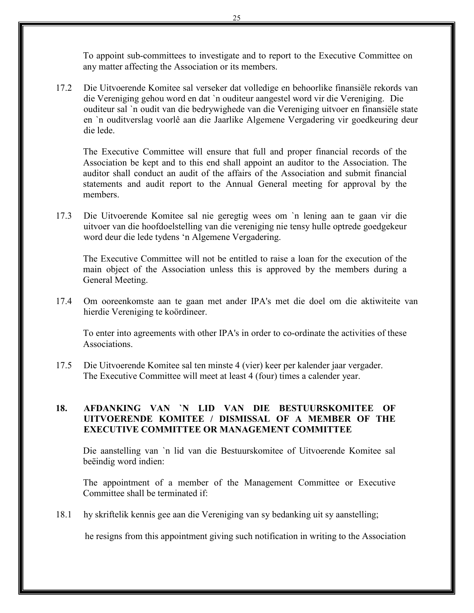To appoint sub-committees to investigate and to report to the Executive Committee on any matter affecting the Association or its members.

17.2 Die Uitvoerende Komitee sal verseker dat volledige en behoorlike finansiёle rekords van die Vereniging gehou word en dat `n ouditeur aangestel word vir die Vereniging. Die ouditeur sal `n oudit van die bedrywighede van die Vereniging uitvoer en finansiёle state en `n ouditverslag voorlê aan die Jaarlike Algemene Vergadering vir goedkeuring deur die lede.

The Executive Committee will ensure that full and proper financial records of the Association be kept and to this end shall appoint an auditor to the Association. The auditor shall conduct an audit of the affairs of the Association and submit financial statements and audit report to the Annual General meeting for approval by the members.

17.3 Die Uitvoerende Komitee sal nie geregtig wees om `n lening aan te gaan vir die uitvoer van die hoofdoelstelling van die vereniging nie tensy hulle optrede goedgekeur word deur die lede tydens 'n Algemene Vergadering.

The Executive Committee will not be entitled to raise a loan for the execution of the main object of the Association unless this is approved by the members during a General Meeting.

17.4 Om ooreenkomste aan te gaan met ander IPA's met die doel om die aktiwiteite van hierdie Vereniging te koördineer.

To enter into agreements with other IPA's in order to co-ordinate the activities of these **Associations** 

17.5 Die Uitvoerende Komitee sal ten minste 4 (vier) keer per kalender jaar vergader. The Executive Committee will meet at least 4 (four) times a calender year.

# **18. AFDANKING VAN `N LID VAN DIE BESTUURSKOMITEE OF UITVOERENDE KOMITEE / DISMISSAL OF A MEMBER OF THE EXECUTIVE COMMITTEE OR MANAGEMENT COMMITTEE**

Die aanstelling van `n lid van die Bestuurskomitee of Uitvoerende Komitee sal beëindig word indien:

The appointment of a member of the Management Committee or Executive Committee shall be terminated if:

18.1 hy skriftelik kennis gee aan die Vereniging van sy bedanking uit sy aanstelling;

he resigns from this appointment giving such notification in writing to the Association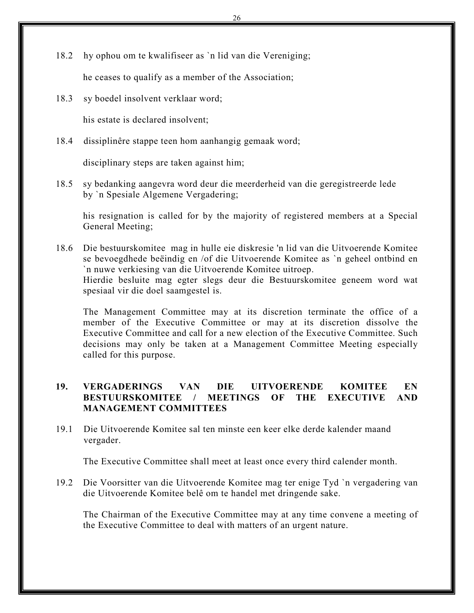18.2 hy ophou om te kwalifiseer as `n lid van die Vereniging;

he ceases to qualify as a member of the Association;

18.3 sy boedel insolvent verklaar word;

his estate is declared insolvent;

18.4 dissiplinêre stappe teen hom aanhangig gemaak word;

disciplinary steps are taken against him;

18.5 sy bedanking aangevra word deur die meerderheid van die geregistreerde lede by `n Spesiale Algemene Vergadering;

his resignation is called for by the majority of registered members at a Special General Meeting;

18.6 Die bestuurskomitee mag in hulle eie diskresie 'n lid van die Uitvoerende Komitee se bevoegdhede beёindig en /of die Uitvoerende Komitee as `n geheel ontbind en `n nuwe verkiesing van die Uitvoerende Komitee uitroep. Hierdie besluite mag egter slegs deur die Bestuurskomitee geneem word wat spesiaal vir die doel saamgestel is.

The Management Committee may at its discretion terminate the office of a member of the Executive Committee or may at its discretion dissolve the Executive Committee and call for a new election of the Executive Committee. Such decisions may only be taken at a Management Committee Meeting especially called for this purpose.

# **19. VERGADERINGS VAN DIE UITVOERENDE KOMITEE EN BESTUURSKOMITEE / MEETINGS OF THE EXECUTIVE AND MANAGEMENT COMMITTEES**

19.1 Die Uitvoerende Komitee sal ten minste een keer elke derde kalender maand vergader.

The Executive Committee shall meet at least once every third calender month.

19.2 Die Voorsitter van die Uitvoerende Komitee mag ter enige Tyd `n vergadering van die Uitvoerende Komitee belê om te handel met dringende sake.

The Chairman of the Executive Committee may at any time convene a meeting of the Executive Committee to deal with matters of an urgent nature.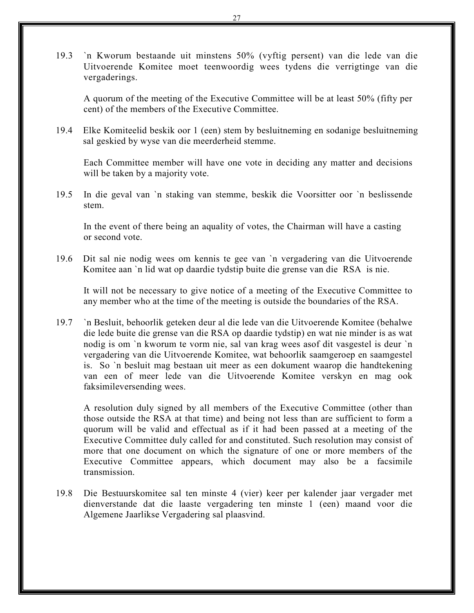19.3 `n Kworum bestaande uit minstens 50% (vyftig persent) van die lede van die Uitvoerende Komitee moet teenwoordig wees tydens die verrigtinge van die vergaderings.

A quorum of the meeting of the Executive Committee will be at least 50% (fifty per cent) of the members of the Executive Committee.

19.4 Elke Komiteelid beskik oor 1 (een) stem by besluitneming en sodanige besluitneming sal geskied by wyse van die meerderheid stemme.

Each Committee member will have one vote in deciding any matter and decisions will be taken by a majority vote.

19.5 In die geval van `n staking van stemme, beskik die Voorsitter oor `n beslissende stem.

In the event of there being an aquality of votes, the Chairman will have a casting or second vote.

19.6 Dit sal nie nodig wees om kennis te gee van `n vergadering van die Uitvoerende Komitee aan `n lid wat op daardie tydstip buite die grense van die RSA is nie.

It will not be necessary to give notice of a meeting of the Executive Committee to any member who at the time of the meeting is outside the boundaries of the RSA.

19.7 `n Besluit, behoorlik geteken deur al die lede van die Uitvoerende Komitee (behalwe die lede buite die grense van die RSA op daardie tydstip) en wat nie minder is as wat nodig is om `n kworum te vorm nie, sal van krag wees asof dit vasgestel is deur `n vergadering van die Uitvoerende Komitee, wat behoorlik saamgeroep en saamgestel is. So `n besluit mag bestaan uit meer as een dokument waarop die handtekening van een of meer lede van die Uitvoerende Komitee verskyn en mag ook faksimileversending wees.

A resolution duly signed by all members of the Executive Committee (other than those outside the RSA at that time) and being not less than are sufficient to form a quorum will be valid and effectual as if it had been passed at a meeting of the Executive Committee duly called for and constituted. Such resolution may consist of more that one document on which the signature of one or more members of the Executive Committee appears, which document may also be a facsimile transmission.

19.8 Die Bestuurskomitee sal ten minste 4 (vier) keer per kalender jaar vergader met dienverstande dat die laaste vergadering ten minste 1 (een) maand voor die Algemene Jaarlikse Vergadering sal plaasvind.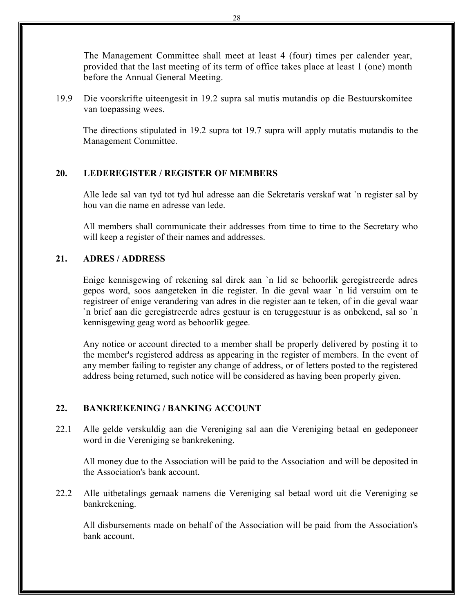The Management Committee shall meet at least 4 (four) times per calender year, provided that the last meeting of its term of office takes place at least 1 (one) month before the Annual General Meeting.

19.9 Die voorskrifte uiteengesit in 19.2 supra sal mutis mutandis op die Bestuurskomitee van toepassing wees.

The directions stipulated in 19.2 supra tot 19.7 supra will apply mutatis mutandis to the Management Committee.

#### **20. LEDEREGISTER / REGISTER OF MEMBERS**

Alle lede sal van tyd tot tyd hul adresse aan die Sekretaris verskaf wat `n register sal by hou van die name en adresse van lede.

All members shall communicate their addresses from time to time to the Secretary who will keep a register of their names and addresses.

#### **21. ADRES / ADDRESS**

Enige kennisgewing of rekening sal direk aan `n lid se behoorlik geregistreerde adres gepos word, soos aangeteken in die register. In die geval waar `n lid versuim om te registreer of enige verandering van adres in die register aan te teken, of in die geval waar `n brief aan die geregistreerde adres gestuur is en teruggestuur is as onbekend, sal so `n kennisgewing geag word as behoorlik gegee.

Any notice or account directed to a member shall be properly delivered by posting it to the member's registered address as appearing in the register of members. In the event of any member failing to register any change of address, or of letters posted to the registered address being returned, such notice will be considered as having been properly given.

#### **22. BANKREKENING / BANKING ACCOUNT**

22.1 Alle gelde verskuldig aan die Vereniging sal aan die Vereniging betaal en gedeponeer word in die Vereniging se bankrekening.

All money due to the Association will be paid to the Association and will be deposited in the Association's bank account.

22.2 Alle uitbetalings gemaak namens die Vereniging sal betaal word uit die Vereniging se bankrekening.

All disbursements made on behalf of the Association will be paid from the Association's bank account.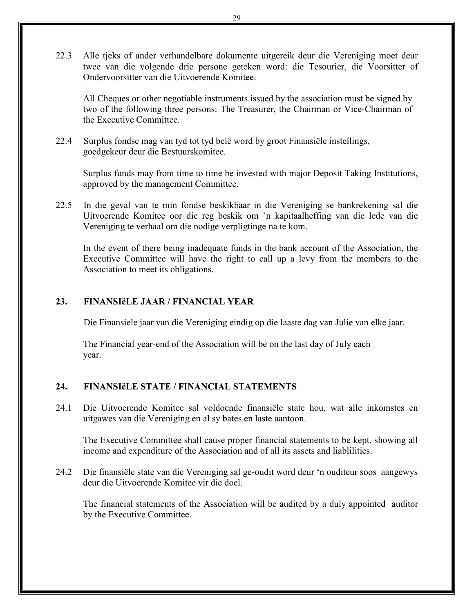22.3 Alle tjeks of ander verhandelbare dokumente uitgereik deur die Vereniging moet deur twee van die volgende drie persone geteken word: die Tesourier, die Voorsitter of Ondervoorsitter van die Uitvoerende Komitee.

All Cheques or other negotiable instruments issued by the association must be signed by two of the following three persons: The Treasurer, the Chairman or Vice-Chairman of the Executive Committee.

22.4 Surplus fondse mag van tyd tot tyd belê word by groot Finansiёle instellings, goedgekeur deur die Bestuurskomitee.

Surplus funds may from time to time be invested with major Deposit Taking Institutions, approved by the management Committee.

22.5 In die geval van te min fondse beskikbaar in die Vereniging se bankrekening sal die Uitvoerende Komitee oor die reg beskik om `n kapitaalheffing van die lede van die Vereniging te verhaal om die nodige verpligtinge na te kom.

In the event of there being inadequate funds in the bank account of the Association, the Executive Committee will have the right to call up a levy from the members to the Association to meet its obligations.

# **23. FINANSIёLE JAAR / FINANCIAL YEAR**

Die Finansiele jaar van die Vereniging eindig op die laaste dag van Julie van elke jaar.

The Financial year-end of the Association will be on the last day of July each year.

#### **24. FINANSIёLE STATE / FINANCIAL STATEMENTS**

24.1 Die Uitvoerende Komitee sal voldoende finansiёle state hou, wat alle inkomstes en uitgawes van die Vereniging en al sy bates en laste aantoon.

The Executive Committee shall cause proper financial statements to be kept, showing all income and expenditure of the Association and of all its assets and liablilities.

24.2 Die finansiёle state van die Vereniging sal ge-oudit word deur 'n ouditeur soos aangewys deur die Uitvoerende Komitee vir die doel.

The financial statements of the Association will be audited by a duly appointed auditor by the Executive Committee.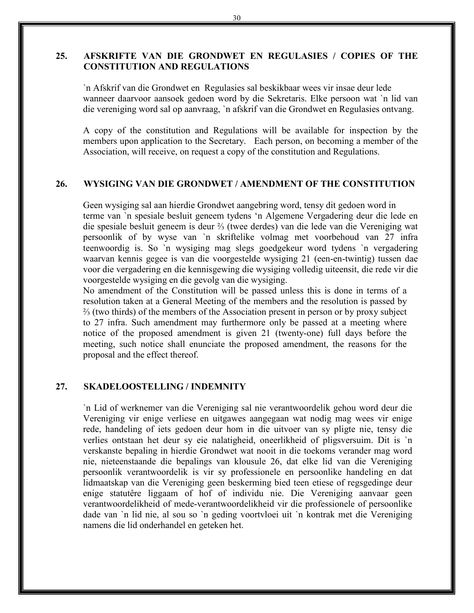# **25. AFSKRIFTE VAN DIE GRONDWET EN REGULASIES / COPIES OF THE CONSTITUTION AND REGULATIONS**

`n Afskrif van die Grondwet en Regulasies sal beskikbaar wees vir insae deur lede wanneer daarvoor aansoek gedoen word by die Sekretaris. Elke persoon wat `n lid van die vereniging word sal op aanvraag, `n afskrif van die Grondwet en Regulasies ontvang.

A copy of the constitution and Regulations will be available for inspection by the members upon application to the Secretary. Each person, on becoming a member of the Association, will receive, on request a copy of the constitution and Regulations.

#### **26. WYSIGING VAN DIE GRONDWET / AMENDMENT OF THE CONSTITUTION**

Geen wysiging sal aan hierdie Grondwet aangebring word, tensy dit gedoen word in terme van `n spesiale besluit geneem tydens 'n Algemene Vergadering deur die lede en die spesiale besluit geneem is deur ⅔ (twee derdes) van die lede van die Vereniging wat persoonlik of by wyse van `n skriftelike volmag met voorbehoud van 27 infra teenwoordig is. So `n wysiging mag slegs goedgekeur word tydens `n vergadering waarvan kennis gegee is van die voorgestelde wysiging 21 (een-en-twintig) tussen dae voor die vergadering en die kennisgewing die wysiging volledig uiteensit, die rede vir die voorgestelde wysiging en die gevolg van die wysiging.

No amendment of the Constitution will be passed unless this is done in terms of a resolution taken at a General Meeting of the members and the resolution is passed by ⅔ (two thirds) of the members of the Association present in person or by proxy subject to 27 infra. Such amendment may furthermore only be passed at a meeting where notice of the proposed amendment is given 21 (twenty-one) full days before the meeting, such notice shall enunciate the proposed amendment, the reasons for the proposal and the effect thereof.

#### **27. SKADELOOSTELLING / INDEMNITY**

`n Lid of werknemer van die Vereniging sal nie verantwoordelik gehou word deur die Vereniging vir enige verliese en uitgawes aangegaan wat nodig mag wees vir enige rede, handeling of iets gedoen deur hom in die uitvoer van sy pligte nie, tensy die verlies ontstaan het deur sy eie nalatigheid, oneerlikheid of pligsversuim. Dit is `n verskanste bepaling in hierdie Grondwet wat nooit in die toekoms verander mag word nie, nieteenstaande die bepalings van klousule 26, dat elke lid van die Vereniging persoonlik verantwoordelik is vir sy professionele en persoonlike handeling en dat lidmaatskap van die Vereniging geen beskerming bied teen etiese of regsgedinge deur enige statutêre liggaam of hof of individu nie. Die Vereniging aanvaar geen verantwoordelikheid of mede-verantwoordelikheid vir die professionele of persoonlike dade van `n lid nie, al sou so `n geding voortvloei uit `n kontrak met die Vereniging namens die lid onderhandel en geteken het.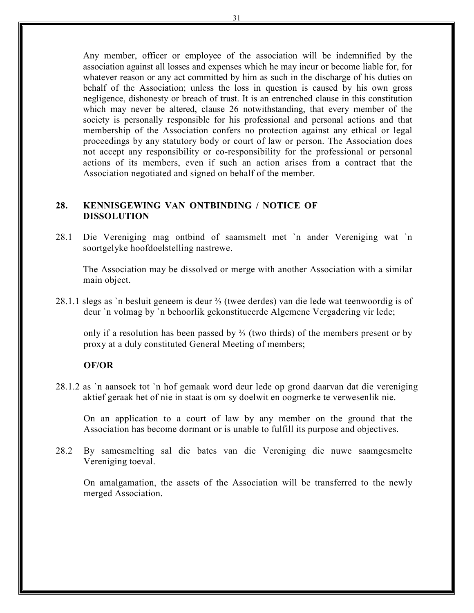Any member, officer or employee of the association will be indemnified by the association against all losses and expenses which he may incur or become liable for, for whatever reason or any act committed by him as such in the discharge of his duties on behalf of the Association; unless the loss in question is caused by his own gross negligence, dishonesty or breach of trust. It is an entrenched clause in this constitution which may never be altered, clause 26 notwithstanding, that every member of the society is personally responsible for his professional and personal actions and that membership of the Association confers no protection against any ethical or legal proceedings by any statutory body or court of law or person. The Association does not accept any responsibility or co-responsibility for the professional or personal actions of its members, even if such an action arises from a contract that the Association negotiated and signed on behalf of the member.

#### **28. KENNISGEWING VAN ONTBINDING / NOTICE OF DISSOLUTION**

28.1 Die Vereniging mag ontbind of saamsmelt met `n ander Vereniging wat `n soortgelyke hoofdoelstelling nastrewe.

The Association may be dissolved or merge with another Association with a similar main object.

28.1.1 slegs as `n besluit geneem is deur ⅔ (twee derdes) van die lede wat teenwoordig is of deur `n volmag by `n behoorlik gekonstitueerde Algemene Vergadering vir lede;

only if a resolution has been passed by ⅔ (two thirds) of the members present or by proxy at a duly constituted General Meeting of members;

#### **OF/OR**

28.1.2 as `n aansoek tot `n hof gemaak word deur lede op grond daarvan dat die vereniging aktief geraak het of nie in staat is om sy doelwit en oogmerke te verwesenlik nie.

On an application to a court of law by any member on the ground that the Association has become dormant or is unable to fulfill its purpose and objectives.

28.2 By samesmelting sal die bates van die Vereniging die nuwe saamgesmelte Vereniging toeval.

On amalgamation, the assets of the Association will be transferred to the newly merged Association.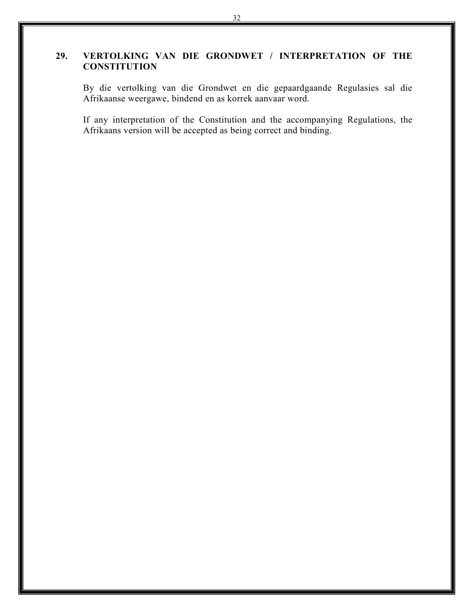# **29. VERTOLKING VAN DIE GRONDWET / INTERPRETATION OF THE CONSTITUTION**

By die vertolking van die Grondwet en die gepaardgaande Regulasies sal die Afrikaanse weergawe, bindend en as korrek aanvaar word.

If any interpretation of the Constitution and the accompanying Regulations, the Afrikaans version will be accepted as being correct and binding.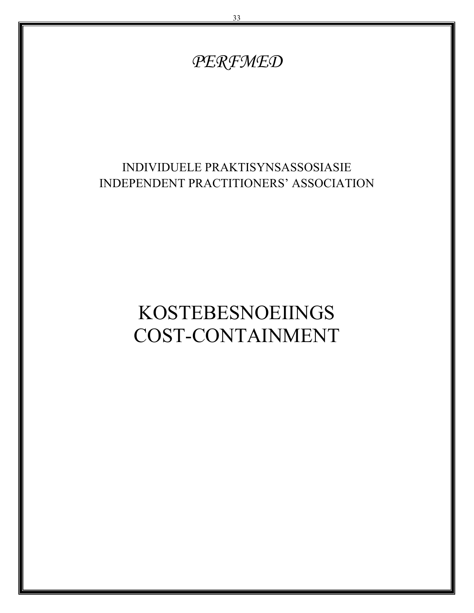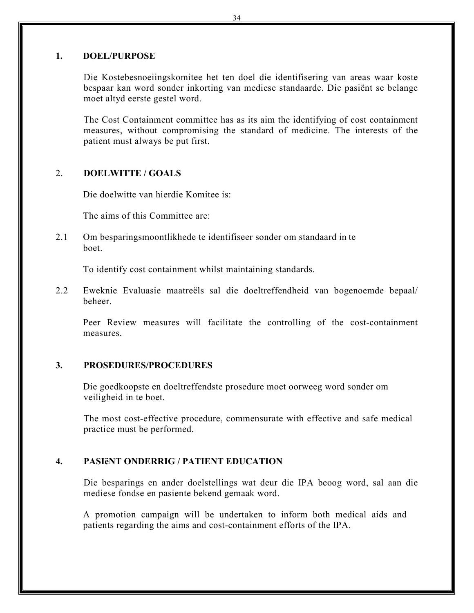#### **1. DOEL/PURPOSE**

Die Kostebesnoeiingskomitee het ten doel die identifisering van areas waar koste bespaar kan word sonder inkorting van mediese standaarde. Die pasiёnt se belange moet altyd eerste gestel word.

The Cost Containment committee has as its aim the identifying of cost containment measures, without compromising the standard of medicine. The interests of the patient must always be put first.

#### 2. **DOELWITTE / GOALS**

Die doelwitte van hierdie Komitee is:

The aims of this Committee are:

2.1 Om besparingsmoontlikhede te identifiseer sonder om standaard in te boet.

To identify cost containment whilst maintaining standards.

2.2 Eweknie Evaluasie maatreëls sal die doeltreffendheid van bogenoemde bepaal/ beheer.

Peer Review measures will facilitate the controlling of the cost-containment measures.

#### **3. PROSEDURES/PROCEDURES**

Die goedkoopste en doeltreffendste prosedure moet oorweeg word sonder om veiligheid in te boet.

The most cost-effective procedure, commensurate with effective and safe medical practice must be performed.

# **4. PASIёNT ONDERRIG / PATIENT EDUCATION**

Die besparings en ander doelstellings wat deur die IPA beoog word, sal aan die mediese fondse en pasiente bekend gemaak word.

A promotion campaign will be undertaken to inform both medical aids and patients regarding the aims and cost-containment efforts of the IPA.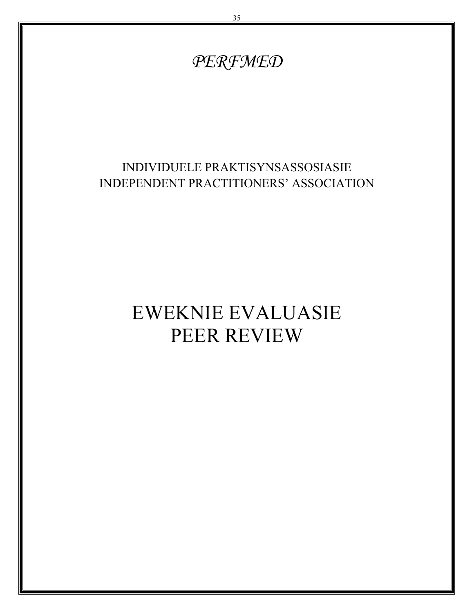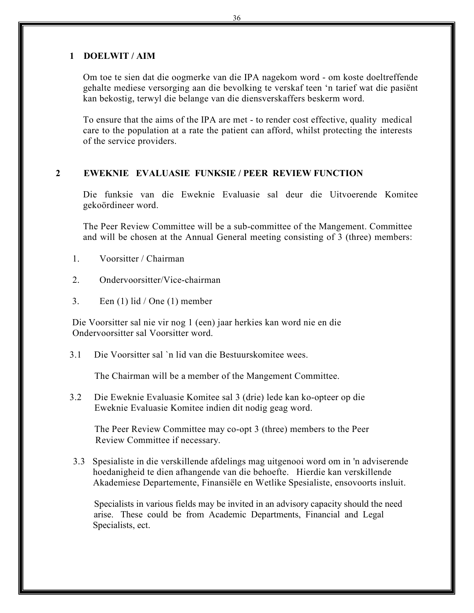#### **1 DOELWIT / AIM**

Om toe te sien dat die oogmerke van die IPA nagekom word - om koste doeltreffende gehalte mediese versorging aan die bevolking te verskaf teen 'n tarief wat die pasiёnt kan bekostig, terwyl die belange van die diensverskaffers beskerm word.

To ensure that the aims of the IPA are met - to render cost effective, quality medical care to the population at a rate the patient can afford, whilst protecting the interests of the service providers.

#### **2 EWEKNIE EVALUASIE FUNKSIE / PEER REVIEW FUNCTION**

Die funksie van die Eweknie Evaluasie sal deur die Uitvoerende Komitee gekoördineer word.

The Peer Review Committee will be a sub-committee of the Mangement. Committee and will be chosen at the Annual General meeting consisting of 3 (three) members:

- 1. Voorsitter / Chairman
- 2. Ondervoorsitter/Vice-chairman
- 3. Een  $(1)$  lid  $/$  One  $(1)$  member

Die Voorsitter sal nie vir nog 1 (een) jaar herkies kan word nie en die Ondervoorsitter sal Voorsitter word.

3.1 Die Voorsitter sal `n lid van die Bestuurskomitee wees.

The Chairman will be a member of the Mangement Committee.

 3.2 Die Eweknie Evaluasie Komitee sal 3 (drie) lede kan ko-opteer op die Eweknie Evaluasie Komitee indien dit nodig geag word.

 The Peer Review Committee may co-opt 3 (three) members to the Peer Review Committee if necessary.

 3.3 Spesialiste in die verskillende afdelings mag uitgenooi word om in 'n adviserende hoedanigheid te dien afhangende van die behoefte. Hierdie kan verskillende Akademiese Departemente, Finansiёle en Wetlike Spesialiste, ensovoorts insluit.

Specialists in various fields may be invited in an advisory capacity should the need arise. These could be from Academic Departments, Financial and Legal Specialists, ect.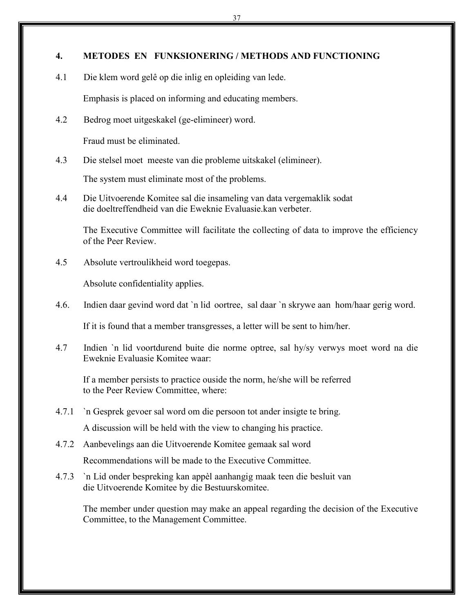#### **4. METODES EN FUNKSIONERING / METHODS AND FUNCTIONING**

4.1 Die klem word gelê op die inlig en opleiding van lede.

Emphasis is placed on informing and educating members.

4.2 Bedrog moet uitgeskakel (ge-elimineer) word.

Fraud must be eliminated.

4.3 Die stelsel moet meeste van die probleme uitskakel (elimineer).

The system must eliminate most of the problems.

4.4 Die Uitvoerende Komitee sal die insameling van data vergemaklik sodat die doeltreffendheid van die Eweknie Evaluasie.kan verbeter.

The Executive Committee will facilitate the collecting of data to improve the efficiency of the Peer Review.

4.5 Absolute vertroulikheid word toegepas.

Absolute confidentiality applies.

4.6. Indien daar gevind word dat `n lid oortree, sal daar `n skrywe aan hom/haar gerig word.

If it is found that a member transgresses, a letter will be sent to him/her.

4.7 Indien `n lid voortdurend buite die norme optree, sal hy/sy verwys moet word na die Eweknie Evaluasie Komitee waar:

If a member persists to practice ouside the norm, he/she will be referred to the Peer Review Committee, where:

- 4.7.1 `n Gesprek gevoer sal word om die persoon tot ander insigte te bring. A discussion will be held with the view to changing his practice.
- 4.7.2 Aanbevelings aan die Uitvoerende Komitee gemaak sal word Recommendations will be made to the Executive Committee.
- 4.7.3 `n Lid onder bespreking kan appèl aanhangig maak teen die besluit van die Uitvoerende Komitee by die Bestuurskomitee.

The member under question may make an appeal regarding the decision of the Executive Committee, to the Management Committee.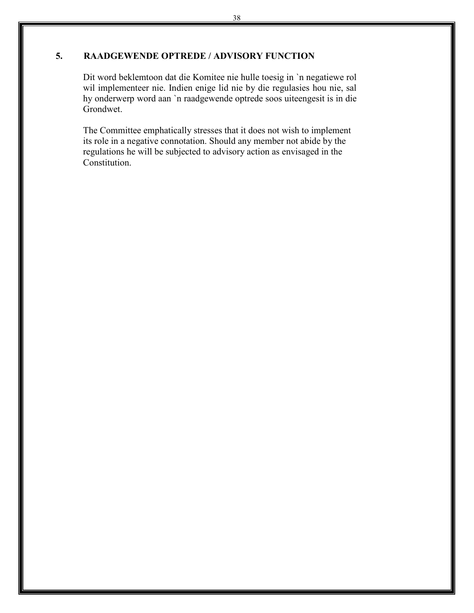# **5. RAADGEWENDE OPTREDE / ADVISORY FUNCTION**

Dit word beklemtoon dat die Komitee nie hulle toesig in `n negatiewe rol wil implementeer nie. Indien enige lid nie by die regulasies hou nie, sal hy onderwerp word aan `n raadgewende optrede soos uiteengesit is in die Grondwet.

The Committee emphatically stresses that it does not wish to implement its role in a negative connotation. Should any member not abide by the regulations he will be subjected to advisory action as envisaged in the Constitution.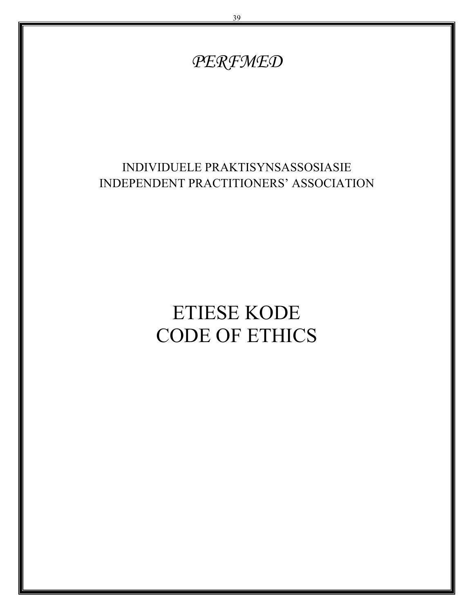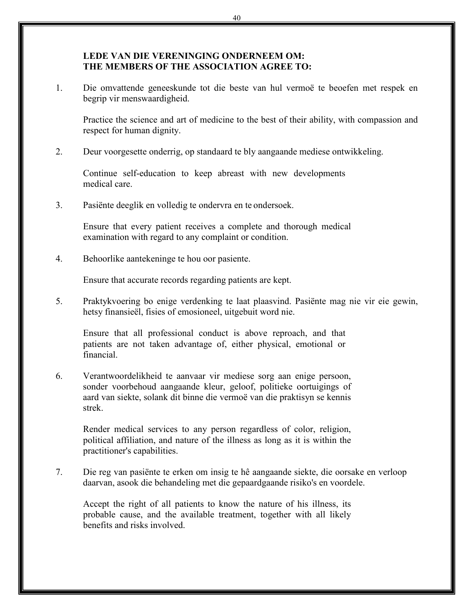## **LEDE VAN DIE VERENINGING ONDERNEEM OM: THE MEMBERS OF THE ASSOCIATION AGREE TO:**

1. Die omvattende geneeskunde tot die beste van hul vermoё te beoefen met respek en begrip vir menswaardigheid.

Practice the science and art of medicine to the best of their ability, with compassion and respect for human dignity.

2. Deur voorgesette onderrig, op standaard te bly aangaande mediese ontwikkeling.

Continue self-education to keep abreast with new developments medical care.

3. Pasiёnte deeglik en volledig te ondervra en te ondersoek.

Ensure that every patient receives a complete and thorough medical examination with regard to any complaint or condition.

4. Behoorlike aantekeninge te hou oor pasiente.

Ensure that accurate records regarding patients are kept.

5. Praktykvoering bo enige verdenking te laat plaasvind. Pasiёnte mag nie vir eie gewin, hetsy finansieël, fisies of emosioneel, uitgebuit word nie.

Ensure that all professional conduct is above reproach, and that patients are not taken advantage of, either physical, emotional or financial.

6. Verantwoordelikheid te aanvaar vir mediese sorg aan enige persoon, sonder voorbehoud aangaande kleur, geloof, politieke oortuigings of aard van siekte, solank dit binne die vermoё van die praktisyn se kennis strek.

Render medical services to any person regardless of color, religion, political affiliation, and nature of the illness as long as it is within the practitioner's capabilities.

7. Die reg van pasiënte te erken om insig te hê aangaande siekte, die oorsake en verloop daarvan, asook die behandeling met die gepaardgaande risiko's en voordele.

Accept the right of all patients to know the nature of his illness, its probable cause, and the available treatment, together with all likely benefits and risks involved.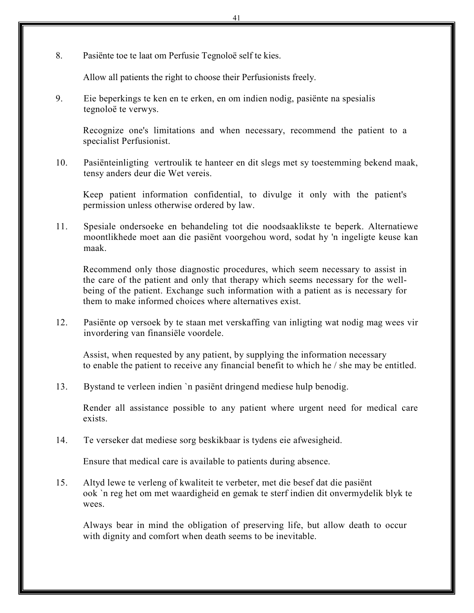8. Pasiënte toe te laat om Perfusie Tegnoloё self te kies.

Allow all patients the right to choose their Perfusionists freely.

9. Eie beperkings te ken en te erken, en om indien nodig, pasiënte na spesialis tegnoloë te verwys.

Recognize one's limitations and when necessary, recommend the patient to a specialist Perfusionist.

10. Pasiënteinligting vertroulik te hanteer en dit slegs met sy toestemming bekend maak, tensy anders deur die Wet vereis.

Keep patient information confidential, to divulge it only with the patient's permission unless otherwise ordered by law.

11. Spesiale ondersoeke en behandeling tot die noodsaaklikste te beperk. Alternatiewe moontlikhede moet aan die pasiënt voorgehou word, sodat hy 'n ingeligte keuse kan maak.

Recommend only those diagnostic procedures, which seem necessary to assist in the care of the patient and only that therapy which seems necessary for the wellbeing of the patient. Exchange such information with a patient as is necessary for them to make informed choices where alternatives exist.

12. Pasiёnte op versoek by te staan met verskaffing van inligting wat nodig mag wees vir invordering van finansiёle voordele.

Assist, when requested by any patient, by supplying the information necessary to enable the patient to receive any financial benefit to which he / she may be entitled.

13. Bystand te verleen indien `n pasiënt dringend mediese hulp benodig.

Render all assistance possible to any patient where urgent need for medical care exists.

14. Te verseker dat mediese sorg beskikbaar is tydens eie afwesigheid.

Ensure that medical care is available to patients during absence.

15. Altyd lewe te verleng of kwaliteit te verbeter, met die besef dat die pasiënt ook `n reg het om met waardigheid en gemak te sterf indien dit onvermydelik blyk te wees.

Always bear in mind the obligation of preserving life, but allow death to occur with dignity and comfort when death seems to be inevitable.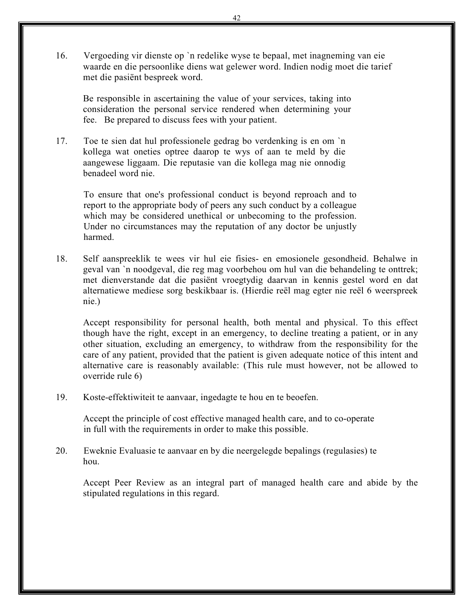16. Vergoeding vir dienste op `n redelike wyse te bepaal, met inagneming van eie waarde en die persoonlike diens wat gelewer word. Indien nodig moet die tarief met die pasiёnt bespreek word.

Be responsible in ascertaining the value of your services, taking into consideration the personal service rendered when determining your fee. Be prepared to discuss fees with your patient.

17. Toe te sien dat hul professionele gedrag bo verdenking is en om `n kollega wat oneties optree daarop te wys of aan te meld by die aangewese liggaam. Die reputasie van die kollega mag nie onnodig benadeel word nie.

To ensure that one's professional conduct is beyond reproach and to report to the appropriate body of peers any such conduct by a colleague which may be considered unethical or unbecoming to the profession. Under no circumstances may the reputation of any doctor be unjustly harmed.

18. Self aanspreeklik te wees vir hul eie fisies- en emosionele gesondheid. Behalwe in geval van `n noodgeval, die reg mag voorbehou om hul van die behandeling te onttrek; met dienverstande dat die pasiёnt vroegtydig daarvan in kennis gestel word en dat alternatiewe mediese sorg beskikbaar is. (Hierdie reёl mag egter nie reёl 6 weerspreek nie.)

Accept responsibility for personal health, both mental and physical. To this effect though have the right, except in an emergency, to decline treating a patient, or in any other situation, excluding an emergency, to withdraw from the responsibility for the care of any patient, provided that the patient is given adequate notice of this intent and alternative care is reasonably available: (This rule must however, not be allowed to override rule 6)

19. Koste-effektiwiteit te aanvaar, ingedagte te hou en te beoefen.

Accept the principle of cost effective managed health care, and to co-operate in full with the requirements in order to make this possible.

20. Eweknie Evaluasie te aanvaar en by die neergelegde bepalings (regulasies) te hou.

Accept Peer Review as an integral part of managed health care and abide by the stipulated regulations in this regard.